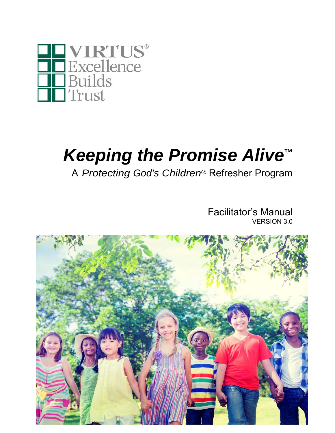

# *Keeping the Promise Alive***™**

A *Protecting God's Children®* Refresher Program

Facilitator's Manual VERSION 3.0

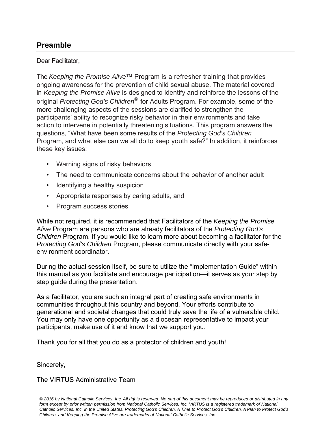#### **Preamble**

#### Dear Facilitator,

The *Keeping the Promise Alive™* Program is a refresher training that provides ongoing awareness for the prevention of child sexual abuse. The material covered in *Keeping the Promise Alive* is designed to identify and reinforce the lessons of the original *Protecting God's Children®* for Adults Program. For example, some of the more challenging aspects of the sessions are clarified to strengthen the participants' ability to recognize risky behavior in their environments and take action to intervene in potentially threatening situations. This program answers the questions, "What have been some results of the *Protecting God's Children*  Program, and what else can we all do to keep youth safe?" In addition, it reinforces these key issues:

- Warning signs of risky behaviors
- The need to communicate concerns about the behavior of another adult
- Identifying a healthy suspicion
- Appropriate responses by caring adults, and
- Program success stories

While not required, it is recommended that Facilitators of the *Keeping the Promise Alive* Program are persons who are already facilitators of the *Protecting God's Children* Program. If you would like to learn more about becoming a facilitator for the *Protecting God's Children* Program, please communicate directly with your safeenvironment coordinator.

During the actual session itself, be sure to utilize the "Implementation Guide" within this manual as you facilitate and encourage participation—it serves as your step by step guide during the presentation.

As a facilitator, you are such an integral part of creating safe environments in communities throughout this country and beyond. Your efforts contribute to generational and societal changes that could truly save the life of a vulnerable child. You may only have one opportunity as a diocesan representative to impact your participants, make use of it and know that we support you.

Thank you for all that you do as a protector of children and youth!

Sincerely,

The VIRTUS Administrative Team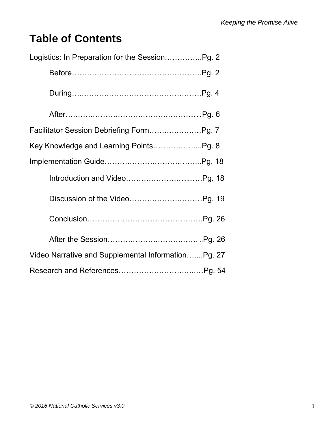### **Table of Contents**

| Logistics: In Preparation for the SessionPg. 2     |
|----------------------------------------------------|
|                                                    |
|                                                    |
|                                                    |
|                                                    |
| Key Knowledge and Learning PointsPg. 8             |
|                                                    |
|                                                    |
|                                                    |
|                                                    |
|                                                    |
| Video Narrative and Supplemental InformationPg. 27 |
|                                                    |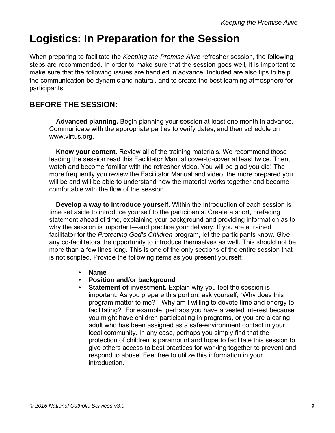### **Logistics: In Preparation for the Session**

When preparing to facilitate the *Keeping the Promise Alive* refresher session, the following steps are recommended. In order to make sure that the session goes well, it is important to make sure that the following issues are handled in advance. Included are also tips to help the communication be dynamic and natural, and to create the best learning atmosphere for participants.

#### **BEFORE THE SESSION:**

 **Advanced planning.** Begin planning your session at least one month in advance. Communicate with the appropriate parties to verify dates; and then schedule on www.virtus.org.

 **Know your content.** Review all of the training materials. We recommend those leading the session read this Facilitator Manual cover-to-cover at least twice. Then, watch and become familiar with the refresher video. You will be glad you did! The more frequently you review the Facilitator Manual and video, the more prepared you will be and will be able to understand how the material works together and become comfortable with the flow of the session.

 **Develop a way to introduce yourself.** Within the Introduction of each session is time set aside to introduce yourself to the participants. Create a short, prefacing statement ahead of time, explaining your background and providing information as to why the session is important—and practice your delivery. If you are a trained facilitator for the *Protecting God's Children* program, let the participants know. Give any co-facilitators the opportunity to introduce themselves as well. This should not be more than a few lines long. This is one of the only sections of the entire session that is not scripted. Provide the following items as you present yourself:

- **Name**
- **Position and**/**or background**
- **Statement of investment.** Explain why you feel the session is important. As you prepare this portion, ask yourself, "Why does this program matter to me?" "Why am I willing to devote time and energy to facilitating?" For example, perhaps you have a vested interest because you might have children participating in programs, or you are a caring adult who has been assigned as a safe-environment contact in your local community. In any case, perhaps you simply find that the protection of children is paramount and hope to facilitate this session to give others access to best practices for working together to prevent and respond to abuse. Feel free to utilize this information in your introduction.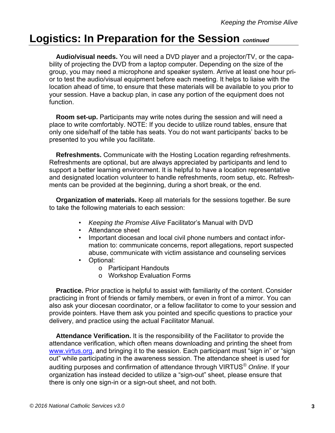**Audio/visual needs.** You will need a DVD player and a projector/TV, or the capability of projecting the DVD from a laptop computer. Depending on the size of the group, you may need a microphone and speaker system. Arrive at least one hour prior to test the audio/visual equipment before each meeting. It helps to liaise with the location ahead of time, to ensure that these materials will be available to you prior to your session. Have a backup plan, in case any portion of the equipment does not function.

 **Room set-up.** Participants may write notes during the session and will need a place to write comfortably. NOTE: If you decide to utilize round tables, ensure that only one side/half of the table has seats. You do not want participants' backs to be presented to you while you facilitate.

 **Refreshments.** Communicate with the Hosting Location regarding refreshments. Refreshments are optional, but are always appreciated by participants and lend to support a better learning environment. It is helpful to have a location representative and designated location volunteer to handle refreshments, room setup, etc. Refreshments can be provided at the beginning, during a short break, or the end.

 **Organization of materials.** Keep all materials for the sessions together. Be sure to take the following materials to each session:

- *Keeping the Promise Alive* Facilitator's Manual with DVD
- Attendance sheet
- Important diocesan and local civil phone numbers and contact information to: communicate concerns, report allegations, report suspected abuse, communicate with victim assistance and counseling services
- Optional:
	- o Participant Handouts
	- o Workshop Evaluation Forms

 **Practice.** Prior practice is helpful to assist with familiarity of the content. Consider practicing in front of friends or family members, or even in front of a mirror. You can also ask your diocesan coordinator, or a fellow facilitator to come to your session and provide pointers. Have them ask you pointed and specific questions to practice your delivery, and practice using the actual Facilitator Manual.

 **Attendance Verification.** It is the responsibility of the Facilitator to provide the attendance verification, which often means downloading and printing the sheet from www.virtus.org, and bringing it to the session. Each participant must "sign in" or "sign out" while participating in the awareness session. The attendance sheet is used for auditing purposes and confirmation of attendance through VIRTUS*® Online*. If your organization has instead decided to utilize a "sign-out" sheet, please ensure that there is only one sign-in or a sign-out sheet, and not both.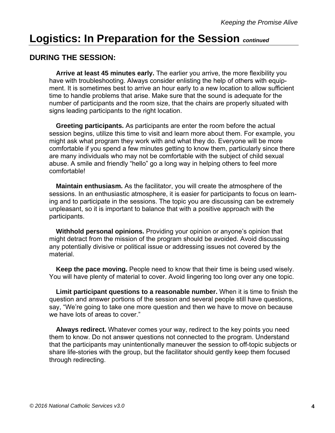#### **DURING THE SESSION:**

 **Arrive at least 45 minutes early.** The earlier you arrive, the more flexibility you have with troubleshooting. Always consider enlisting the help of others with equipment. It is sometimes best to arrive an hour early to a new location to allow sufficient time to handle problems that arise. Make sure that the sound is adequate for the number of participants and the room size, that the chairs are properly situated with signs leading participants to the right location.

 **Greeting participants.** As participants are enter the room before the actual session begins, utilize this time to visit and learn more about them. For example, you might ask what program they work with and what they do. Everyone will be more comfortable if you spend a few minutes getting to know them, particularly since there are many individuals who may not be comfortable with the subject of child sexual abuse. A smile and friendly "hello" go a long way in helping others to feel more comfortable!

 **Maintain enthusiasm.** As the facilitator, you will create the atmosphere of the sessions. In an enthusiastic atmosphere, it is easier for participants to focus on learning and to participate in the sessions. The topic you are discussing can be extremely unpleasant, so it is important to balance that with a positive approach with the participants.

 **Withhold personal opinions.** Providing your opinion or anyone's opinion that might detract from the mission of the program should be avoided. Avoid discussing any potentially divisive or political issue or addressing issues not covered by the material.

 **Keep the pace moving.** People need to know that their time is being used wisely. You will have plenty of material to cover. Avoid lingering too long over any one topic.

 **Limit participant questions to a reasonable number.** When it is time to finish the question and answer portions of the session and several people still have questions, say, "We're going to take one more question and then we have to move on because we have lots of areas to cover."

 **Always redirect.** Whatever comes your way, redirect to the key points you need them to know. Do not answer questions not connected to the program. Understand that the participants may unintentionally maneuver the session to off-topic subjects or share life-stories with the group, but the facilitator should gently keep them focused through redirecting.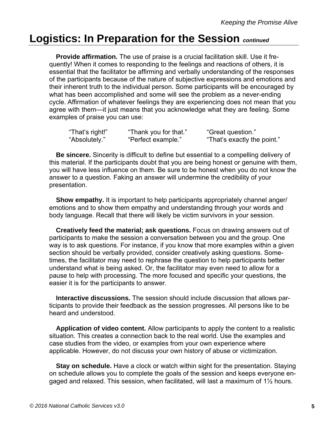**Provide affirmation.** The use of praise is a crucial facilitation skill. Use it frequently! When it comes to responding to the feelings and reactions of others, it is essential that the facilitator be affirming and verbally understanding of the responses of the participants because of the nature of subjective expressions and emotions and their inherent truth to the individual person. Some participants will be encouraged by what has been accomplished and some will see the problem as a never-ending cycle. Affirmation of whatever feelings they are experiencing does not mean that you agree with them—it just means that you acknowledge what they are feeling. Some examples of praise you can use:

| "That's right!" | "Thank you for that." | "Great question."           |
|-----------------|-----------------------|-----------------------------|
| "Absolutely."   | "Perfect example."    | "That's exactly the point." |

 **Be sincere.** Sincerity is difficult to define but essential to a compelling delivery of this material. If the participants doubt that you are being honest or genuine with them, you will have less influence on them. Be sure to be honest when you do not know the answer to a question. Faking an answer will undermine the credibility of your presentation.

 **Show empathy.** It is important to help participants appropriately channel anger/ emotions and to show them empathy and understanding through your words and body language. Recall that there will likely be victim survivors in your session.

 **Creatively feed the material; ask questions.** Focus on drawing answers out of participants to make the session a conversation between you and the group. One way is to ask questions. For instance, if you know that more examples within a given section should be verbally provided, consider creatively asking questions. Sometimes, the facilitator may need to rephrase the question to help participants better understand what is being asked. Or, the facilitator may even need to allow for a pause to help with processing. The more focused and specific your questions, the easier it is for the participants to answer.

 **Interactive discussions.** The session should include discussion that allows participants to provide their feedback as the session progresses. All persons like to be heard and understood.

 **Application of video content.** Allow participants to apply the content to a realistic situation. This creates a connection back to the real world. Use the examples and case studies from the video, or examples from your own experience where applicable. However, do not discuss your own history of abuse or victimization.

 **Stay on schedule.** Have a clock or watch within sight for the presentation. Staying on schedule allows you to complete the goals of the session and keeps everyone engaged and relaxed. This session, when facilitated, will last a maximum of 1½ hours.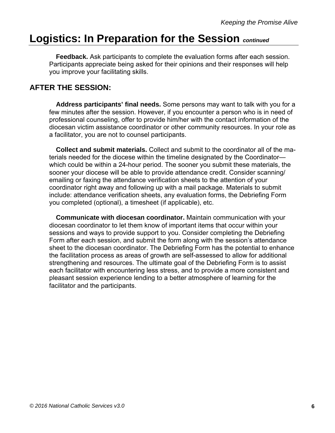**Feedback.** Ask participants to complete the evaluation forms after each session. Participants appreciate being asked for their opinions and their responses will help you improve your facilitating skills.

#### **AFTER THE SESSION:**

 **Address participants' final needs.** Some persons may want to talk with you for a few minutes after the session. However, if you encounter a person who is in need of professional counseling, offer to provide him/her with the contact information of the diocesan victim assistance coordinator or other community resources. In your role as a facilitator, you are not to counsel participants.

 **Collect and submit materials.** Collect and submit to the coordinator all of the materials needed for the diocese within the timeline designated by the Coordinator which could be within a 24-hour period. The sooner you submit these materials, the sooner your diocese will be able to provide attendance credit. Consider scanning/ emailing or faxing the attendance verification sheets to the attention of your coordinator right away and following up with a mail package. Materials to submit include: attendance verification sheets, any evaluation forms, the Debriefing Form you completed (optional), a timesheet (if applicable), etc.

 **Communicate with diocesan coordinator.** Maintain communication with your diocesan coordinator to let them know of important items that occur within your sessions and ways to provide support to you. Consider completing the Debriefing Form after each session, and submit the form along with the session's attendance sheet to the diocesan coordinator. The Debriefing Form has the potential to enhance the facilitation process as areas of growth are self-assessed to allow for additional strengthening and resources. The ultimate goal of the Debriefing Form is to assist each facilitator with encountering less stress, and to provide a more consistent and pleasant session experience lending to a better atmosphere of learning for the facilitator and the participants.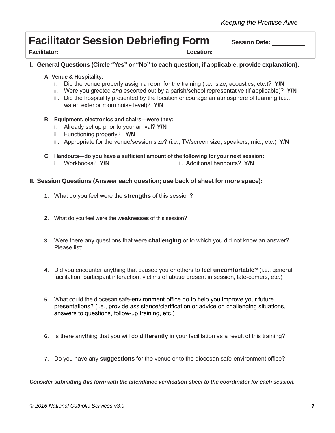### **Facilitator Session Debriefing Form** Session Date:

**Facilitator: Location:**

**I. General Questions (Circle "Yes" or "No" to each question; if applicable, provide explanation):**

#### **A. Venue & Hospitality:**

- i. Did the venue properly assign a room for the training (i.e., size, acoustics, etc.)? **Y/N**
- ii. Were you greeted *and* escorted out by a parish/school representative (if applicable)? **Y/N**
- iii. Did the hospitality presented by the location encourage an atmosphere of learning (i.e., water, exterior room noise level)? **Y/N**
- **B. Equipment, electronics and chairs—were they:**
	- i. Already set up prior to your arrival? **Y/N**
	- ii. Functioning properly? **Y/N**
	- iii. Appropriate for the venue/session size? (i.e., TV/screen size, speakers, mic., etc.) **Y/N**
- **C. Handouts—do you have a sufficient amount of the following for your next session:**
	- i. Workbooks? **Y/N** ii. Additional handouts? **Y/N**

#### **II. Session Questions (Answer each question; use back of sheet for more space):**

- **1.** What do you feel were the **strengths** of this session?
- **2.** What do you feel were the **weaknesses** of this session?
- **3.** Were there any questions that were **challenging** or to which you did not know an answer? Please list:
- **4.** Did you encounter anything that caused you or others to **feel uncomfortable?** (i.e., general facilitation, participant interaction, victims of abuse present in session, late-comers, etc.)
- **5.** What could the diocesan safe-environment office do to help you improve your future presentations? (i.e., provide assistance/clarification or advice on challenging situations, answers to questions, follow-up training, etc.)
- **6.** Is there anything that you will do **differently** in your facilitation as a result of this training?
- **7.** Do you have any **suggestions** for the venue or to the diocesan safe-environment office?

*Consider submitting this form with the attendance verification sheet to the coordinator for each session.*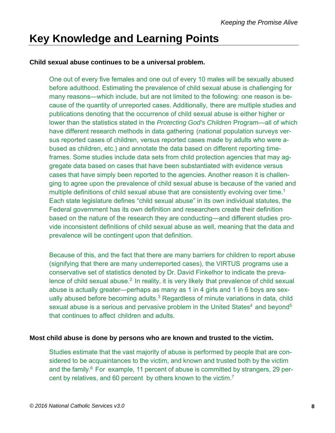### **Key Knowledge and Learning Points**

#### **Child sexual abuse continues to be a universal problem.**

One out of every five females and one out of every 10 males will be sexually abused before adulthood. Estimating the prevalence of child sexual abuse is challenging for many reasons—which include, but are not limited to the following: one reason is because of the quantity of unreported cases. Additionally, there are multiple studies and publications denoting that the occurrence of child sexual abuse is either higher or lower than the statistics stated in the *Protecting God's Children* Program—all of which have different research methods in data gathering (national population surveys versus reported cases of children, versus reported cases made by adults who were abused as children, etc.) and annotate the data based on different reporting timeframes. Some studies include data sets from child protection agencies that may aggregate data based on cases that have been substantiated with evidence versus cases that have simply been reported to the agencies. Another reason it is challenging to agree upon the prevalence of child sexual abuse is because of the varied and multiple definitions of child sexual abuse that are consistently evolving over time.<sup>1</sup> Each state legislature defines "child sexual abuse" in its own individual statutes, the Federal government has its own definition and researchers create their definition based on the nature of the research they are conducting—and different studies provide inconsistent definitions of child sexual abuse as well, meaning that the data and prevalence will be contingent upon that definition.

Because of this, and the fact that there are many barriers for children to report abuse (signifying that there are many underreported cases), the VIRTUS programs use a conservative set of statistics denoted by Dr. David Finkelhor to indicate the prevalence of child sexual abuse.<sup>2</sup> In reality, it is very likely that prevalence of child sexual abuse is actually greater—perhaps as many as 1 in 4 girls and 1 in 6 boys are sexually abused before becoming adults.<sup>3</sup> Regardless of minute variations in data, child sexual abuse is a serious and pervasive problem in the United States<sup>4</sup> and beyond<sup>5</sup> that continues to affect children and adults.

#### **Most child abuse is done by persons who are known and trusted to the victim.**

Studies estimate that the vast majority of abuse is performed by people that are considered to be acquaintances to the victim, and known and trusted both by the victim and the family. $6$  For example, 11 percent of abuse is committed by strangers, 29 percent by relatives, and 60 percent by others known to the victim.<sup>7</sup>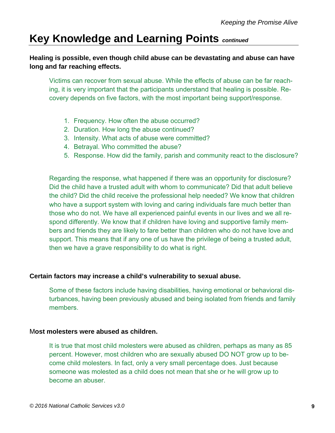#### **Healing is possible, even though child abuse can be devastating and abuse can have long and far reaching effects.**

Victims can recover from sexual abuse. While the effects of abuse can be far reaching, it is very important that the participants understand that healing is possible. Recovery depends on five factors, with the most important being support/response.

- 1. Frequency. How often the abuse occurred?
- 2. Duration. How long the abuse continued?
- 3. Intensity. What acts of abuse were committed?
- 4. Betrayal. Who committed the abuse?
- 5. Response. How did the family, parish and community react to the disclosure?

Regarding the response, what happened if there was an opportunity for disclosure? Did the child have a trusted adult with whom to communicate? Did that adult believe the child? Did the child receive the professional help needed? We know that children who have a support system with loving and caring individuals fare much better than those who do not. We have all experienced painful events in our lives and we all respond differently. We know that if children have loving and supportive family members and friends they are likely to fare better than children who do not have love and support. This means that if any one of us have the privilege of being a trusted adult, then we have a grave responsibility to do what is right.

#### **Certain factors may increase a child's vulnerability to sexual abuse.**

Some of these factors include having disabilities, having emotional or behavioral disturbances, having been previously abused and being isolated from friends and family members.

#### M**ost molesters were abused as children.**

It is true that most child molesters were abused as children, perhaps as many as 85 percent. However, most children who are sexually abused DO NOT grow up to become child molesters. In fact, only a very small percentage does. Just because someone was molested as a child does not mean that she or he will grow up to become an abuser.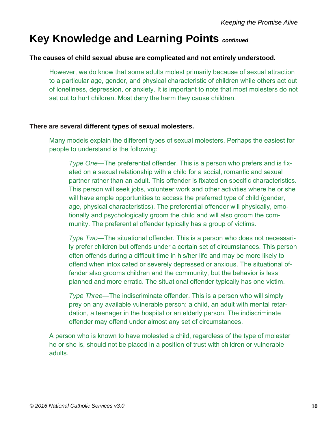#### **The causes of child sexual abuse are complicated and not entirely understood.**

However, we do know that some adults molest primarily because of sexual attraction to a particular age, gender, and physical characteristic of children while others act out of loneliness, depression, or anxiety. It is important to note that most molesters do not set out to hurt children. Most deny the harm they cause children.

#### **There are several different types of sexual molesters.**

Many models explain the different types of sexual molesters. Perhaps the easiest for people to understand is the following:

*Type One*—The preferential offender. This is a person who prefers and is fixated on a sexual relationship with a child for a social, romantic and sexual partner rather than an adult. This offender is fixated on specific characteristics. This person will seek jobs, volunteer work and other activities where he or she will have ample opportunities to access the preferred type of child (gender, age, physical characteristics). The preferential offender will physically, emotionally and psychologically groom the child and will also groom the community. The preferential offender typically has a group of victims.

*Type Two*—The situational offender. This is a person who does not necessarily prefer children but offends under a certain set of circumstances. This person often offends during a difficult time in his/her life and may be more likely to offend when intoxicated or severely depressed or anxious. The situational offender also grooms children and the community, but the behavior is less planned and more erratic. The situational offender typically has one victim.

*Type Three*—The indiscriminate offender. This is a person who will simply prey on any available vulnerable person: a child, an adult with mental retardation, a teenager in the hospital or an elderly person. The indiscriminate offender may offend under almost any set of circumstances.

A person who is known to have molested a child, regardless of the type of molester he or she is, should not be placed in a position of trust with children or vulnerable adults.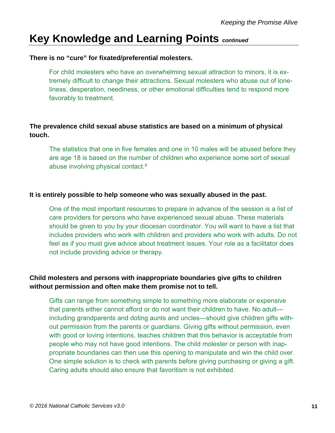#### **There is no "cure" for fixated/preferential molesters.**

For child molesters who have an overwhelming sexual attraction to minors, it is extremely difficult to change their attractions. Sexual molesters who abuse out of loneliness, desperation, neediness, or other emotional difficulties tend to respond more favorably to treatment.

#### **The prevalence child sexual abuse statistics are based on a minimum of physical touch.**

The statistics that one in five females and one in 10 males will be abused before they are age 18 is based on the number of children who experience some sort of sexual abuse involving physical contact.<sup>8</sup>

#### **It is entirely possible to help someone who was sexually abused in the past.**

One of the most important resources to prepare in advance of the session is a list of care providers for persons who have experienced sexual abuse. These materials should be given to you by your diocesan coordinator. You will want to have a list that includes providers who work with children and providers who work with adults. Do not feel as if you must give advice about treatment issues. Your role as a facilitator does not include providing advice or therapy.

#### **Child molesters and persons with inappropriate boundaries give gifts to children without permission and often make them promise not to tell.**

Gifts can range from something simple to something more elaborate or expensive that parents either cannot afford or do not want their children to have. No adult including grandparents and doting aunts and uncles—should give children gifts without permission from the parents or guardians. Giving gifts without permission, even with good or loving intentions, teaches children that this behavior is acceptable from people who may not have good intentions. The child molester or person with inappropriate boundaries can then use this opening to manipulate and win the child over. One simple solution is to check with parents before giving purchasing or giving a gift. Caring adults should also ensure that favoritism is not exhibited.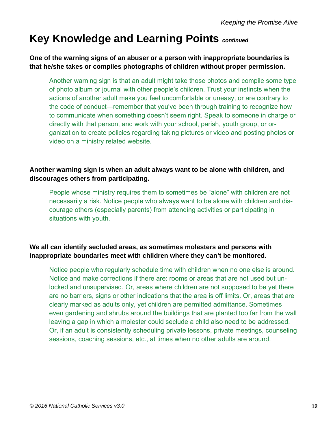#### **One of the warning signs of an abuser or a person with inappropriate boundaries is that he/she takes or compiles photographs of children without proper permission.**

Another warning sign is that an adult might take those photos and compile some type of photo album or journal with other people's children. Trust your instincts when the actions of another adult make you feel uncomfortable or uneasy, or are contrary to the code of conduct—remember that you've been through training to recognize how to communicate when something doesn't seem right. Speak to someone in charge or directly with that person, and work with your school, parish, youth group, or organization to create policies regarding taking pictures or video and posting photos or video on a ministry related website.

#### **Another warning sign is when an adult always want to be alone with children, and discourages others from participating.**

People whose ministry requires them to sometimes be "alone" with children are not necessarily a risk. Notice people who always want to be alone with children and discourage others (especially parents) from attending activities or participating in situations with youth.

#### **We all can identify secluded areas, as sometimes molesters and persons with inappropriate boundaries meet with children where they can't be monitored.**

Notice people who regularly schedule time with children when no one else is around. Notice and make corrections if there are: rooms or areas that are not used but unlocked and unsupervised. Or, areas where children are not supposed to be yet there are no barriers, signs or other indications that the area is off limits. Or, areas that are clearly marked as adults only, yet children are permitted admittance. Sometimes even gardening and shrubs around the buildings that are planted too far from the wall leaving a gap in which a molester could seclude a child also need to be addressed. Or, if an adult is consistently scheduling private lessons, private meetings, counseling sessions, coaching sessions, etc., at times when no other adults are around.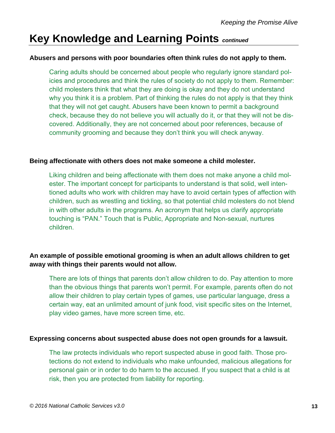#### **Abusers and persons with poor boundaries often think rules do not apply to them.**

Caring adults should be concerned about people who regularly ignore standard policies and procedures and think the rules of society do not apply to them. Remember: child molesters think that what they are doing is okay and they do not understand why you think it is a problem. Part of thinking the rules do not apply is that they think that they will not get caught. Abusers have been known to permit a background check, because they do not believe you will actually do it, or that they will not be discovered. Additionally, they are not concerned about poor references, because of community grooming and because they don't think you will check anyway.

#### **Being affectionate with others does not make someone a child molester.**

Liking children and being affectionate with them does not make anyone a child molester. The important concept for participants to understand is that solid, well intentioned adults who work with children may have to avoid certain types of affection with children, such as wrestling and tickling, so that potential child molesters do not blend in with other adults in the programs. An acronym that helps us clarify appropriate touching is "PAN." Touch that is Public, Appropriate and Non-sexual, nurtures children.

#### **An example of possible emotional grooming is when an adult allows children to get away with things their parents would not allow.**

There are lots of things that parents don't allow children to do. Pay attention to more than the obvious things that parents won't permit. For example, parents often do not allow their children to play certain types of games, use particular language, dress a certain way, eat an unlimited amount of junk food, visit specific sites on the Internet, play video games, have more screen time, etc.

#### **Expressing concerns about suspected abuse does not open grounds for a lawsuit.**

The law protects individuals who report suspected abuse in good faith. Those protections do not extend to individuals who make unfounded, malicious allegations for personal gain or in order to do harm to the accused. If you suspect that a child is at risk, then you are protected from liability for reporting.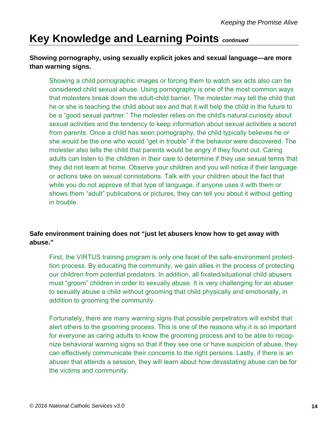#### **Showing pornography, using sexually explicit jokes and sexual language—are more than warning signs.**

Showing a child pornographic images or forcing them to watch sex acts also can be considered child sexual abuse. Using pornography is one of the most common ways that molesters break down the adult-child barrier. The molester may tell the child that he or she is teaching the child about sex and that it will help the child in the future to be a "good sexual partner." The molester relies on the child's natural curiosity about sexual activities and the tendency to keep information about sexual activities a secret from parents. Once a child has seen pornography, the child typically believes he or she would be the one who would "get in trouble" if the behavior were discovered. The molester also tells the child that parents would be angry if they found out. Caring adults can listen to the children in their care to determine if they use sexual terms that they did not learn at home. Observe your children and you will notice if their language or actions take on sexual connotations. Talk with your children about the fact that while you do not approve of that type of language, if anyone uses it with them or shows them "adult" publications or pictures, they can tell you about it without getting in trouble.

#### **Safe environment training does not "just let abusers know how to get away with abuse."**

First, the VIRTUS training program is only one facet of the safe-environment protecttion process. By educating the community, we gain allies in the process of protecting our children from potential predators. In addition, all fixated/situational child abusers must "groom" children in order to sexually abuse. It is very challenging for an abuser to sexually abuse a child without grooming that child physically and emotionally, in addition to grooming the community.

Fortunately, there are many warning signs that possible perpetrators will exhibit that alert others to the grooming process. This is one of the reasons why it is so important for everyone as caring adults to know the grooming process and to be able to recognize behavioral warning signs so that if they see one or have suspicion of abuse, they can effectively communicate their concerns to the right persons. Lastly, if there is an abuser that attends a session, they will learn about how devastating abuse can be for the victims and community.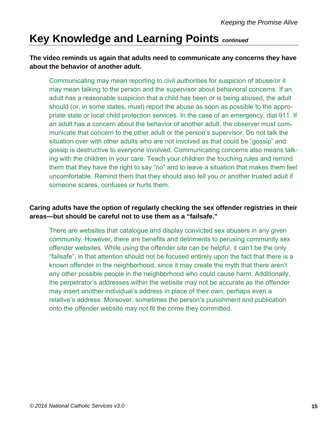#### **The video reminds us again that adults need to communicate any concerns they have about the behavior of another adult.**

Communicating may mean reporting to civil authorities for suspicion of abuse/or it may mean talking to the person and the supervisor about behavioral concerns. If an adult has a reasonable suspicion that a child has been or is being abused, the adult should (or, in some states, must) report the abuse as soon as possible to the appropriate state or local child protection services. In the case of an emergency, dial 911. If an adult has a concern about the behavior of another adult, the observer must communicate that concern to the other adult or the person's supervisor. Do not talk the situation over with other adults who are not involved as that could be "gossip" and gossip is destructive to everyone involved. Communicating concerns also means talking with the children in your care. Teach your children the touching rules and remind them that they have the right to say "no" and to leave a situation that makes them feel uncomfortable. Remind them that they should also tell you or another trusted adult if someone scares, confuses or hurts them.

#### **Caring adults have the option of regularly checking the sex offender registries in their areas—but should be careful not to use them as a "failsafe."**

There are websites that catalogue and display convicted sex abusers in any given community. However, there are benefits and detriments to perusing community sex offender websites. While using the offender site can be helpful, it can't be the only "failsafe", in that attention should not be focused entirely upon the fact that there is a known offender in the neighborhood, since it may create the myth that there aren't any other possible people in the neighborhood who could cause harm. Additionally, the perpetrator's addresses within the website may not be accurate as the offender may insert another individual's address in place of their own, perhaps even a relative's address. Moreover, sometimes the person's punishment and publication onto the offender website may not fit the crime they committed.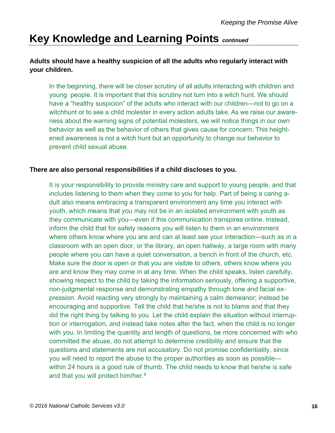#### **Adults should have a healthy suspicion of all the adults who regularly interact with your children.**

In the beginning, there will be closer scrutiny of all adults interacting with children and young people. It is important that this scrutiny not turn into a witch hunt. We should have a "healthy suspicion" of the adults who interact with our children—not to go on a witchhunt or to see a child molester in every action adults take. As we raise our awareness about the warning signs of potential molesters, we will notice things in our own behavior as well as the behavior of others that gives cause for concern. This heightened awareness is not a witch hunt but an opportunity to change our behavior to prevent child sexual abuse.

#### **There are also personal responsibilities if a child discloses to you.**

It is your responsibility to provide ministry care and support to young people, and that includes listening to them when they come to you for help. Part of being a caring adult also means embracing a transparent environment any time you interact with youth, which means that you may not be in an isolated environment with youth as they communicate with you—even if this communication transpires online. Instead, inform the child that for safety reasons you will listen to them in an environment where others know where you are and can at least see your interaction—such as in a classroom with an open door, or the library, an open hallway, a large room with many people where you can have a quiet conversation, a bench in front of the church, etc. Make sure the door is open or that you are visible to others, others know where you are and know they may come in at any time. When the child speaks, listen carefully, showing respect to the child by taking the information seriously, offering a supportive, non-judgmental response and demonstrating empathy through tone and facial expression. Avoid reacting very strongly by maintaining a calm demeanor; instead be encouraging and supportive. Tell the child that he/she is not to blame and that they did the right thing by talking to you. Let the child explain the situation without interruption or interrogation, and instead take notes after the fact, when the child is no longer with you. In limiting the quantity and length of questions, be more concerned with who committed the abuse, do not attempt to determine credibility and ensure that the questions and statements are not accusatory. Do not promise confidentiality, since you will need to report the abuse to the proper authorities as soon as possible within 24 hours is a good rule of thumb. The child needs to know that he/she is safe and that you will protect him/her.<sup>9</sup>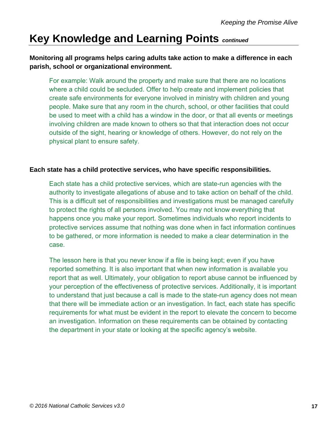#### **Monitoring all programs helps caring adults take action to make a difference in each parish, school or organizational environment.**

For example: Walk around the property and make sure that there are no locations where a child could be secluded. Offer to help create and implement policies that create safe environments for everyone involved in ministry with children and young people. Make sure that any room in the church, school, or other facilities that could be used to meet with a child has a window in the door, or that all events or meetings involving children are made known to others so that that interaction does not occur outside of the sight, hearing or knowledge of others. However, do not rely on the physical plant to ensure safety.

#### **Each state has a child protective services, who have specific responsibilities.**

Each state has a child protective services, which are state-run agencies with the authority to investigate allegations of abuse and to take action on behalf of the child. This is a difficult set of responsibilities and investigations must be managed carefully to protect the rights of all persons involved. You may not know everything that happens once you make your report. Sometimes individuals who report incidents to protective services assume that nothing was done when in fact information continues to be gathered, or more information is needed to make a clear determination in the case.

The lesson here is that you never know if a file is being kept; even if you have reported something. It is also important that when new information is available you report that as well. Ultimately, your obligation to report abuse cannot be influenced by your perception of the effectiveness of protective services. Additionally, it is important to understand that just because a call is made to the state-run agency does not mean that there will be immediate action or an investigation. In fact, each state has specific requirements for what must be evident in the report to elevate the concern to become an investigation. Information on these requirements can be obtained by contacting the department in your state or looking at the specific agency's website.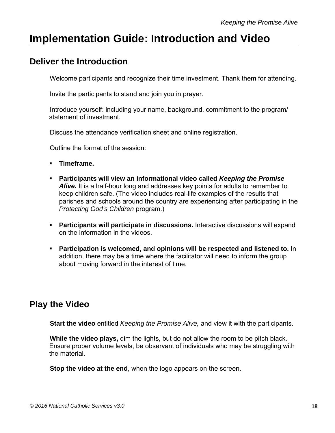### **Implementation Guide: Introduction and Video**

### **Deliver the Introduction**

Welcome participants and recognize their time investment. Thank them for attending.

Invite the participants to stand and join you in prayer.

 Introduce yourself: including your name, background, commitment to the program/ statement of investment.

Discuss the attendance verification sheet and online registration.

Outline the format of the session:

- **Timeframe.**
- **Participants will view an informational video called** *Keeping the Promise* **Alive.** It is a half-hour long and addresses key points for adults to remember to keep children safe. (The video includes real-life examples of the results that parishes and schools around the country are experiencing after participating in the *Protecting God's Children* program.)
- **Participants will participate in discussions.** Interactive discussions will expand on the information in the videos.
- **Participation is welcomed, and opinions will be respected and listened to.** In addition, there may be a time where the facilitator will need to inform the group about moving forward in the interest of time.

### **Play the Video**

**Start the video** entitled *Keeping the Promise Alive,* and view it with the participants.

 **While the video plays,** dim the lights, but do not allow the room to be pitch black. Ensure proper volume levels, be observant of individuals who may be struggling with the material.

**Stop the video at the end**, when the logo appears on the screen.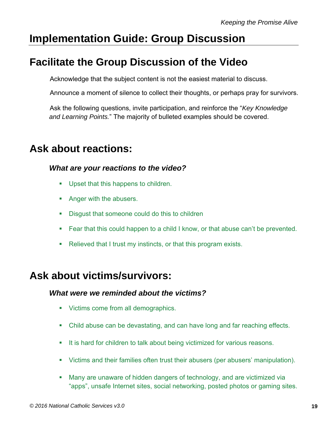### **Implementation Guide: Group Discussion**

### **Facilitate the Group Discussion of the Video**

Acknowledge that the subject content is not the easiest material to discuss.

Announce a moment of silence to collect their thoughts, or perhaps pray for survivors.

 Ask the following questions, invite participation, and reinforce the "*Key Knowledge and Learning Points.*" The majority of bulleted examples should be covered.

### **Ask about reactions:**

#### *What are your reactions to the video?*

- **Upset that this happens to children.**
- Anger with the abusers.
- Disgust that someone could do this to children
- Fear that this could happen to a child I know, or that abuse can't be prevented.
- Relieved that I trust my instincts, or that this program exists.

### **Ask about victims/survivors:**

#### *What were we reminded about the victims?*

- **Victims come from all demographics.**
- Child abuse can be devastating, and can have long and far reaching effects.
- It is hard for children to talk about being victimized for various reasons.
- Victims and their families often trust their abusers (per abusers' manipulation).
- Many are unaware of hidden dangers of technology, and are victimized via "apps", unsafe Internet sites, social networking, posted photos or gaming sites.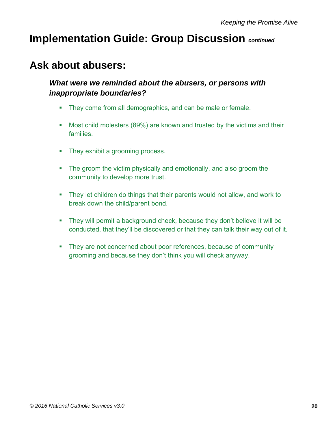### **Ask about abusers:**

#### *What were we reminded about the abusers, or persons with inappropriate boundaries?*

- They come from all demographics, and can be male or female.
- **Most child molesters (89%) are known and trusted by the victims and their** families.
- They exhibit a grooming process.
- The groom the victim physically and emotionally, and also groom the community to develop more trust.
- **They let children do things that their parents would not allow, and work to** break down the child/parent bond.
- They will permit a background check, because they don't believe it will be conducted, that they'll be discovered or that they can talk their way out of it.
- They are not concerned about poor references, because of community grooming and because they don't think you will check anyway.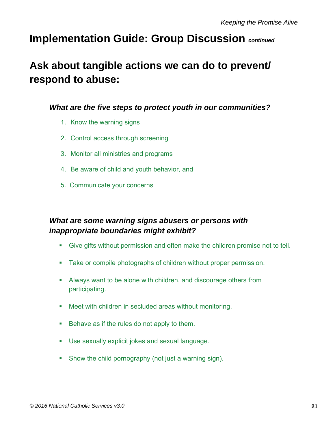### **Ask about tangible actions we can do to prevent/ respond to abuse:**

#### *What are the five steps to protect youth in our communities?*

- 1. Know the warning signs
- 2. Control access through screening
- 3. Monitor all ministries and programs
- 4. Be aware of child and youth behavior, and
- 5. Communicate your concerns

#### *What are some warning signs abusers or persons with inappropriate boundaries might exhibit?*

- Give gifts without permission and often make the children promise not to tell.
- **Take or compile photographs of children without proper permission.**
- Always want to be alone with children, and discourage others from participating.
- Meet with children in secluded areas without monitoring.
- Behave as if the rules do not apply to them.
- Use sexually explicit jokes and sexual language.
- Show the child pornography (not just a warning sign).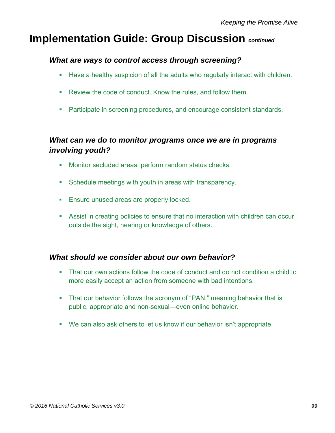#### *What are ways to control access through screening?*

- **Have a healthy suspicion of all the adults who regularly interact with children.**
- **Review the code of conduct. Know the rules, and follow them.**
- Participate in screening procedures, and encourage consistent standards.

#### *What can we do to monitor programs once we are in programs involving youth?*

- **Monitor secluded areas, perform random status checks.**
- Schedule meetings with youth in areas with transparency.
- **Ensure unused areas are properly locked.**
- Assist in creating policies to ensure that no interaction with children can occur outside the sight, hearing or knowledge of others.

#### *What should we consider about our own behavior?*

- That our own actions follow the code of conduct and do not condition a child to more easily accept an action from someone with bad intentions.
- That our behavior follows the acronym of "PAN," meaning behavior that is public, appropriate and non-sexual—even online behavior.
- We can also ask others to let us know if our behavior isn't appropriate.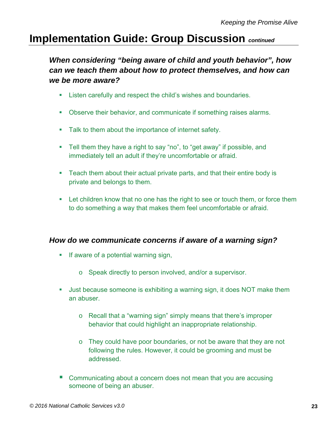*When considering "being aware of child and youth behavior", how can we teach them about how to protect themselves, and how can we be more aware?* 

- **EXECT** Listen carefully and respect the child's wishes and boundaries.
- Observe their behavior, and communicate if something raises alarms.
- **Talk to them about the importance of internet safety.**
- Tell them they have a right to say "no", to "get away" if possible, and immediately tell an adult if they're uncomfortable or afraid.
- Teach them about their actual private parts, and that their entire body is private and belongs to them.
- Let children know that no one has the right to see or touch them, or force them to do something a way that makes them feel uncomfortable or afraid.

#### *How do we communicate concerns if aware of a warning sign?*

- **If aware of a potential warning sign,** 
	- o Speak directly to person involved, and/or a supervisor.
- Just because someone is exhibiting a warning sign, it does NOT make them an abuser.
	- o Recall that a "warning sign" simply means that there's improper behavior that could highlight an inappropriate relationship.
	- $\circ$  They could have poor boundaries, or not be aware that they are not following the rules. However, it could be grooming and must be addressed.
- Communicating about a concern does not mean that you are accusing someone of being an abuser.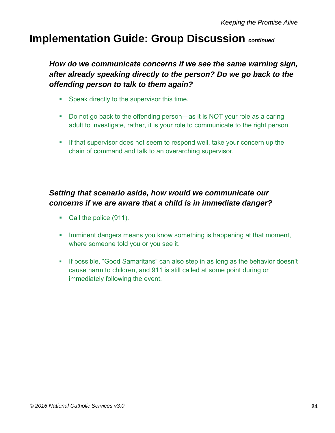*How do we communicate concerns if we see the same warning sign, after already speaking directly to the person? Do we go back to the offending person to talk to them again?*

- **Speak directly to the supervisor this time.**
- Do not go back to the offending person—as it is NOT your role as a caring adult to investigate, rather, it is your role to communicate to the right person.
- If that supervisor does not seem to respond well, take your concern up the chain of command and talk to an overarching supervisor.

#### *Setting that scenario aside, how would we communicate our concerns if we are aware that a child is in immediate danger?*

- Call the police (911).
- **Imminent dangers means you know something is happening at that moment,** where someone told you or you see it.
- If possible, "Good Samaritans" can also step in as long as the behavior doesn't cause harm to children, and 911 is still called at some point during or immediately following the event.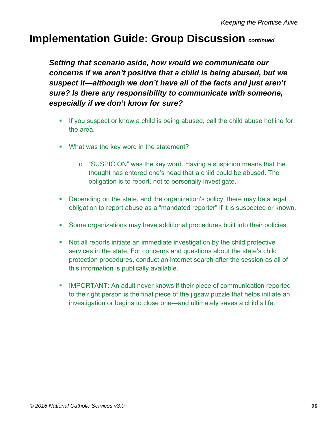*Setting that scenario aside, how would we communicate our concerns if we aren't positive that a child is being abused, but we suspect it—although we don't have all of the facts and just aren't sure? Is there any responsibility to communicate with someone, especially if we don't know for sure?*

- If you suspect or know a child is being abused, call the child abuse hotline for the area.
- **What was the key word in the statement?** 
	- o "SUSPICION" was the key word. Having a suspicion means that the thought has entered one's head that a child could be abused. The obligation is to report, not to personally investigate.
- Depending on the state, and the organization's policy, there may be a legal obligation to report abuse as a "mandated reporter" if it is suspected or known.
- Some organizations may have additional procedures built into their policies.
- Not all reports initiate an immediate investigation by the child protective services in the state. For concerns and questions about the state's child protection procedures, conduct an internet search after the session as all of this information is publically available.
- **IMPORTANT: An adult never knows if their piece of communication reported** to the right person is the final piece of the jigsaw puzzle that helps initiate an investigation or begins to close one—and ultimately saves a child's life.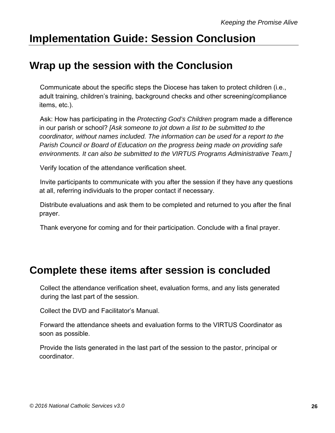### **Implementation Guide: Session Conclusion**

### **Wrap up the session with the Conclusion**

 Communicate about the specific steps the Diocese has taken to protect children (i.e., adult training, children's training, background checks and other screening/compliance items, etc.).

 Ask: How has participating in the *Protecting God's Children* program made a difference in our parish or school? *[Ask someone to jot down a list to be submitted to the coordinator, without names included. The information can be used for a report to the Parish Council or Board of Education on the progress being made on providing safe environments. It can also be submitted to the VIRTUS Programs Administrative Team.]* 

Verify location of the attendance verification sheet.

 Invite participants to communicate with you after the session if they have any questions at all, referring individuals to the proper contact if necessary.

 Distribute evaluations and ask them to be completed and returned to you after the final prayer.

Thank everyone for coming and for their participation. Conclude with a final prayer.

### **Complete these items after session is concluded**

 Collect the attendance verification sheet, evaluation forms, and any lists generated during the last part of the session.

Collect the DVD and Facilitator's Manual.

 Forward the attendance sheets and evaluation forms to the VIRTUS Coordinator as soon as possible.

 Provide the lists generated in the last part of the session to the pastor, principal or coordinator.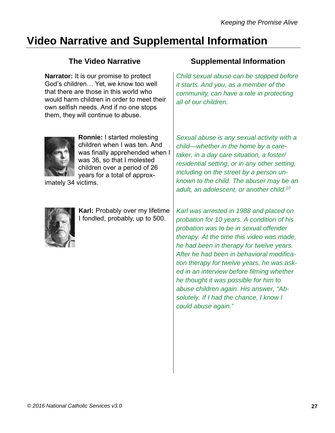### **Video Narrative and Supplemental Information**

**Narrator:** It is our promise to protect God's children… Yet, we know too well that there are those in this world who would harm children in order to meet their own selfish needs. And if no one stops them, they will continue to abuse.

#### **The Video Narrative Supplemental Information**

*Child sexual abuse can be stopped before it starts. And you, as a member of the community, can have a role in protecting all of our children.* 



**Ronnie:** I started molesting children when I was ten. And was finally apprehended when I was 36, so that I molested children over a period of 26 years for a total of approx-

imately 34 victims.



**Karl:** Probably over my lifetime I fondled, probably, up to 500.

*Sexual abuse is any sexual activity with a child—whether in the home by a caretaker, in a day care situation, a foster/ residential setting, or in any other setting, including on the street by a person unknown to the child. The abuser may be an adult, an adolescent, or another child.10*

*Karl was arrested in 1988 and placed on probation for 10 years. A condition of his probation was to be in sexual offender therapy. At the time this video was made, he had been in therapy for twelve years. After he had been in behavioral modification therapy for twelve years, he was asked in an interview before filming whether he thought it was possible for him to abuse children again. His answer, "Absolutely. If I had the chance, I know I could abuse again."*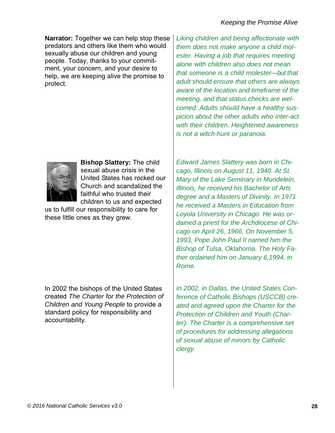**Narrator:** Together we can help stop these predators and others like them who would sexually abuse our children and young people. Today, thanks to your commitment, your concern, and your desire to help, we are keeping alive the promise to protect.



**Bishop Slattery:** The child sexual abuse crisis in the United States has rocked our Church and scandalized the faithful who trusted their children to us and expected

us to fulfill our responsibility to care for these little ones as they grew.

In 2002 the bishops of the United States created *The Charter for the Protection of Children and Young People* to provide a standard policy for responsibility and accountability.

*Liking children and being affectionate with them does not make anyone a child molester. Having a job that requires meeting alone with children also does not mean that someone is a child molester—but that adult should ensure that others are always aware of the location and timeframe of the meeting, and that status checks are welcomed. Adults should have a healthy suspicion about the other adults who inter-act with their children. Heightened awareness is not a witch-hunt or paranoia.* 

*Edward James Slattery was born in Chicago, Illinois on August 11, 1940. At St. Mary of the Lake Seminary in Mundelein, Illinois, he received his Bachelor of Arts degree and a Masters of Divinity. In 1971 he received a Masters in Education from Loyola University in Chicago. He was ordained a priest for the Archdiocese of Chicago on April 26, 1966. On November 5, 1993, Pope John Paul II named him the Bishop of Tulsa, Oklahoma. The Holy Father ordained him on January 6,1994, in Rome.* 

*In 2002, in Dallas, the United States Conference of Catholic Bishops (USCCB) created and agreed upon the Charter for the Protection of Children and Youth (Charter). The Charter is a comprehensive set of procedures for addressing allegations of sexual abuse of minors by Catholic clergy.*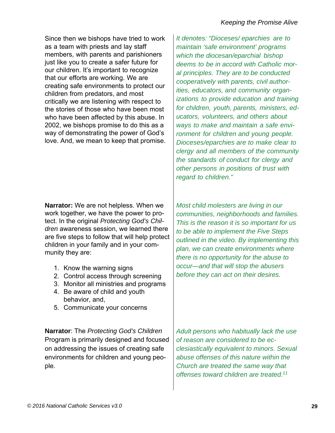Since then we bishops have tried to work as a team with priests and lay staff members, with parents and parishioners just like you to create a safer future for our children. It's important to recognize that our efforts are working. We are creating safe environments to protect our children from predators, and most critically we are listening with respect to the stories of those who have been most who have been affected by this abuse. In 2002, we bishops promise to do this as a way of demonstrating the power of God's love. And, we mean to keep that promise.

**Narrator:** We are not helpless. When we work together, we have the power to protect. In the original *Protecting God's Children* awareness session, we learned there are five steps to follow that will help protect children in your family and in your community they are:

- 1. Know the warning signs
- 2. Control access through screening
- 3. Monitor all ministries and programs
- 4. Be aware of child and youth behavior, and,
- 5. Communicate your concerns

**Narrator**: The *Protecting God's Children* Program is primarily designed and focused on addressing the issues of creating safe environments for children and young people.

*It denotes: "Dioceses/ eparchies are to maintain 'safe environment' programs which the diocesan/eparchial bishop deems to be in accord with Catholic moral principles. They are to be conducted cooperatively with parents, civil authorities, educators, and community organizations to provide education and training for children, youth, parents, ministers, educators, volunteers, and others about ways to make and maintain a safe environment for children and young people. Dioceses/eparchies are to make clear to clergy and all members of the community the standards of conduct for clergy and other persons in positions of trust with regard to children."* 

*Most child molesters are living in our communities, neighborhoods and families. This is the reason it is so important for us to be able to implement the Five Steps outlined in the video. By implementing this plan, we can create environments where there is no opportunity for the abuse to occur—and that will stop the abusers before they can act on their desires.* 

*Adult persons who habitually lack the use of reason are considered to be ecclesiastically equivalent to minors. Sexual abuse offenses of this nature within the Church are treated the same way that offenses toward children are treated.11*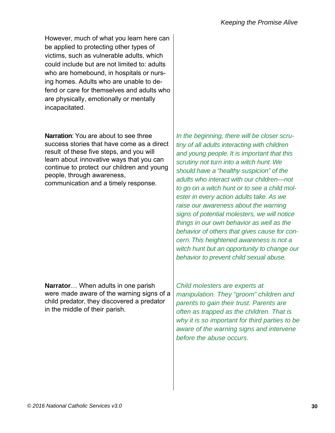However, much of what you learn here can be applied to protecting other types of victims, such as vulnerable adults, which could include but are not limited to: adults who are homebound, in hospitals or nursing homes. Adults who are unable to defend or care for themselves and adults who are physically, emotionally or mentally incapacitated.

**Narration**: You are about to see three success stories that have come as a direct result of these five steps, and you will learn about innovative ways that you can continue to protect our children and young people, through awareness, communication and a timely response.

**Narrator**… When adults in one parish were made aware of the warning signs of a child predator, they discovered a predator in the middle of their parish.

*In the beginning, there will be closer scrutiny of all adults interacting with children and young people. It is important that this scrutiny not turn into a witch hunt. We should have a "healthy suspicion" of the adults who interact with our children—not to go on a witch hunt or to see a child molester in every action adults take. As we raise our awareness about the warning signs of potential molesters, we will notice things in our own behavior as well as the behavior of others that gives cause for concern. This heightened awareness is not a witch hunt but an opportunity to change our behavior to prevent child sexual abuse.* 

*Child molesters are experts at manipulation. They "groom" children and parents to gain their trust. Parents are often as trapped as the children. That is why it is so important for third parties to be aware of the warning signs and intervene before the abuse occurs.*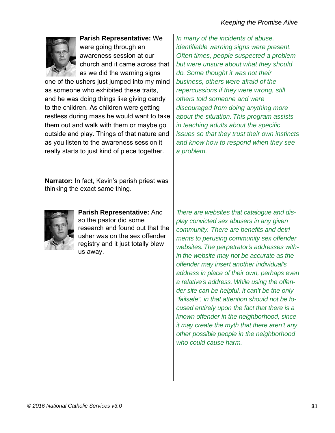

**Parish Representative:** We were going through an awareness session at our church and it came across that as we did the warning signs

one of the ushers just jumped into my mind as someone who exhibited these traits, and he was doing things like giving candy to the children. As children were getting restless during mass he would want to take them out and walk with them or maybe go outside and play. Things of that nature and as you listen to the awareness session it really starts to just kind of piece together.

*In many of the incidents of abuse, identifiable warning signs were present. Often times, people suspected a problem but were unsure about what they should do. Some thought it was not their business, others were afraid of the repercussions if they were wrong, still others told someone and were discouraged from doing anything more about the situation. This program assists in teaching adults about the specific issues so that they trust their own instincts and know how to respond when they see a problem.* 

**Narrator:** In fact, Kevin's parish priest was thinking the exact same thing.



**Parish Representative:** And so the pastor did some research and found out that the usher was on the sex offender registry and it just totally blew us away.

*There are websites that catalogue and display convicted sex abusers in any given community. There are benefits and detriments to perusing community sex offender websites. The perpetrator's addresses within the website may not be accurate as the offender may insert another individual's address in place of their own, perhaps even a relative's address. While using the offender site can be helpful, it can't be the only "failsafe", in that attention should not be focused entirely upon the fact that there is a known offender in the neighborhood, since it may create the myth that there aren't any other possible people in the neighborhood who could cause harm.*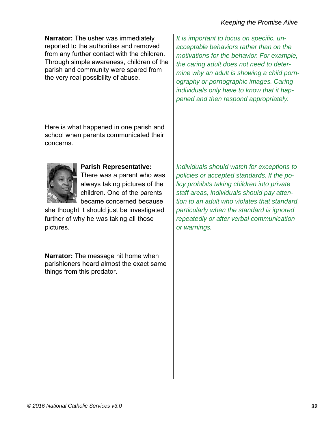#### *Keeping the Promise Alive*

**Narrator:** The usher was immediately reported to the authorities and removed from any further contact with the children. Through simple awareness, children of the parish and community were spared from the very real possibility of abuse.

Here is what happened in one parish and school when parents communicated their concerns.



#### **Parish Representative:**

There was a parent who was always taking pictures of the children. One of the parents became concerned because

she thought it should just be investigated further of why he was taking all those pictures.

**Narrator:** The message hit home when parishioners heard almost the exact same things from this predator.

*It is important to focus on specific, unacceptable behaviors rather than on the motivations for the behavior. For example, the caring adult does not need to determine why an adult is showing a child pornography or pornographic images. Caring individuals only have to know that it happened and then respond appropriately.* 

*Individuals should watch for exceptions to policies or accepted standards. If the policy prohibits taking children into private staff areas, individuals should pay attention to an adult who violates that standard, particularly when the standard is ignored repeatedly or after verbal communication or warnings.*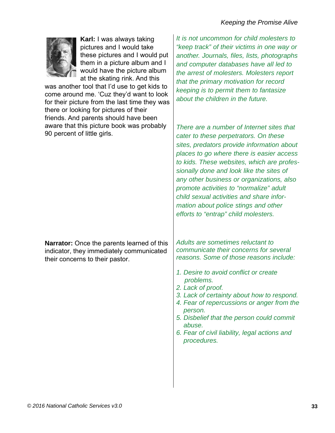

**Karl:** I was always taking pictures and I would take these pictures and I would put them in a picture album and I would have the picture album at the skating rink. And this

was another tool that I'd use to get kids to come around me. 'Cuz they'd want to look for their picture from the last time they was there or looking for pictures of their friends. And parents should have been aware that this picture book was probably 90 percent of little girls.

**Narrator:** Once the parents learned of this indicator, they immediately communicated their concerns to their pastor.

*It is not uncommon for child molesters to "keep track" of their victims in one way or another. Journals, files, lists, photographs and computer databases have all led to the arrest of molesters. Molesters report that the primary motivation for record keeping is to permit them to fantasize about the children in the future.* 

*There are a number of Internet sites that cater to these perpetrators. On these sites, predators provide information about places to go where there is easier access to kids. These websites, which are professionally done and look like the sites of any other business or organizations, also promote activities to "normalize" adult child sexual activities and share information about police stings and other efforts to "entrap" child molesters.* 

*Adults are sometimes reluctant to communicate their concerns for several reasons. Some of those reasons include:* 

- *1. Desire to avoid conflict or create problems.*
- *2. Lack of proof.*
- *3. Lack of certainty about how to respond.*
- *4. Fear of repercussions or anger from the person.*
- *5. Disbelief that the person could commit abuse.*
- *6. Fear of civil liability, legal actions and procedures.*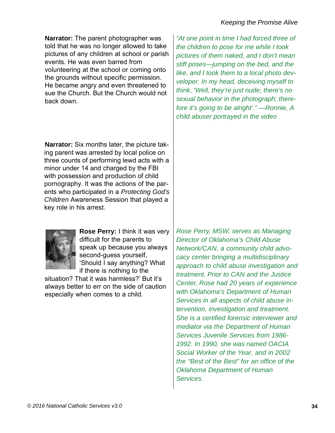**Narrator:** The parent photographer was told that he was no longer allowed to take pictures of any children at school or parish events. He was even barred from volunteering at the school or coming onto the grounds without specific permission. He became angry and even threatened to sue the Church. But the Church would not back down.

**Narrator:** Six months later, the picture taking parent was arrested by local police on three counts of performing lewd acts with a minor under 14 and charged by the FBI with possession and production of child pornography. It was the actions of the parents who participated in a *Protecting God's Children* Awareness Session that played a key role in his arrest.

**Rose Perry:** I think it was very difficult for the parents to speak up because you always second-guess yourself, 'Should I say anything? What if there is nothing to the

situation? That it was harmless?' But it's always better to err on the side of caution especially when comes to a child.

*Rose Perry, MSW, serves as Managing Director of Oklahoma's Child Abuse Network/CAN, a community child advocacy center bringing a multidisciplinary approach to child abuse investigation and treatment. Prior to CAN and the Justice Center, Rose had 20 years of experience with Oklahoma's Department of Human Services in all aspects of child abuse intervention, investigation and treatment. She is a certified forensic interviewer and mediator via the Department of Human Services Juvenile Services from 1986- 1992. In 1990, she was named OACIA Social Worker of the Year, and in 2002 the "Best of the Best" for an office of the Oklahoma Department of Human Services.* 

*"At one point in time I had forced three of the children to pose for me while I took pictures of them naked, and I don't mean stiff poses—jumping on the bed, and the like, and I took them to a local photo devveloper. In my head, deceiving myself to think, 'Well, they're just nude; there's no sexual behavior in the photograph; therefore it's going to be alright'." —Ronnie, A child abuser portrayed in the video* 

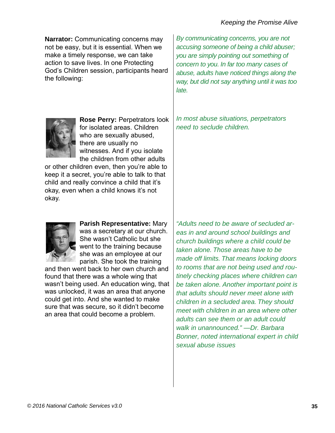**Narrator:** Communicating concerns may not be easy, but it is essential. When we make a timely response, we can take action to save lives. In one Protecting God's Children session, participants heard the following:

**Rose Perry:** Perpetrators look for isolated areas. Children who are sexually abused, there are usually no witnesses. And if you isolate the children from other adults

or other children even, then you're able to keep it a secret, you're able to talk to that child and really convince a child that it's okay, even when a child knows it's not okay.

*By communicating concerns, you are not accusing someone of being a child abuser; you are simply pointing out something of concern to you. In far too many cases of abuse, adults have noticed things along the way, but did not say anything until it was too late.* 

*In most abuse situations, perpetrators need to seclude children.* 



**Parish Representative:** Mary was a secretary at our church. She wasn't Catholic but she went to the training because she was an employee at our parish. She took the training

and then went back to her own church and found that there was a whole wing that wasn't being used. An education wing, that was unlocked, it was an area that anyone could get into. And she wanted to make sure that was secure, so it didn't become an area that could become a problem.

*"Adults need to be aware of secluded areas in and around school buildings and church buildings where a child could be taken alone. Those areas have to be made off limits. That means locking doors to rooms that are not being used and routinely checking places where children can be taken alone. Another important point is that adults should never meet alone with children in a secluded area. They should meet with children in an area where other adults can see them or an adult could walk in unannounced." —Dr. Barbara Bonner, noted international expert in child sexual abuse issues*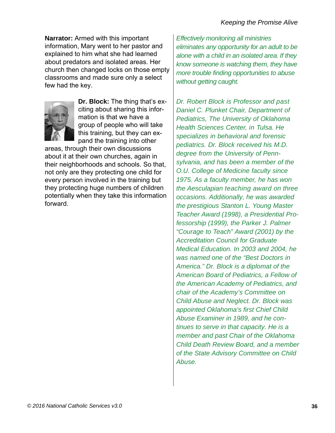**Narrator:** Armed with this important information, Mary went to her pastor and explained to him what she had learned about predators and isolated areas. Her church then changed locks on those empty classrooms and made sure only a select few had the key.



**Dr. Block:** The thing that's exciting about sharing this information is that we have a group of people who will take this training, but they can expand the training into other

areas, through their own discussions about it at their own churches, again in their neighborhoods and schools. So that, not only are they protecting one child for every person involved in the training but they protecting huge numbers of children potentially when they take this information forward.

*Effectively monitoring all ministries eliminates any opportunity for an adult to be alone with a child in an isolated area. If they know someone is watching them, they have more trouble finding opportunities to abuse without getting caught.* 

*Dr. Robert Block is Professor and past Daniel C. Plunket Chair, Department of Pediatrics, The University of Oklahoma Health Sciences Center, in Tulsa. He specializes in behavioral and forensic pediatrics. Dr. Block received his M.D. degree from the University of Pennsylvania, and has been a member of the O.U. College of Medicine faculty since 1975. As a faculty member, he has won the Aesculapian teaching award on three occasions. Additionally, he was awarded the prestigious Stanton L. Young Master Teacher Award (1998), a Presidential Professorship (1999), the Parker J. Palmer "Courage to Teach" Award (2001) by the Accreditation Council for Graduate Medical Education. In 2003 and 2004, he was named one of the "Best Doctors in America." Dr. Block is a diplomat of the American Board of Pediatrics, a Fellow of the American Academy of Pediatrics, and chair of the Academy's Committee on Child Abuse and Neglect. Dr. Block was appointed Oklahoma's first Chief Child Abuse Examiner in 1989, and he continues to serve in that capacity. He is a member and past Chair of the Oklahoma Child Death Review Board, and a member of the State Advisory Committee on Child Abuse.*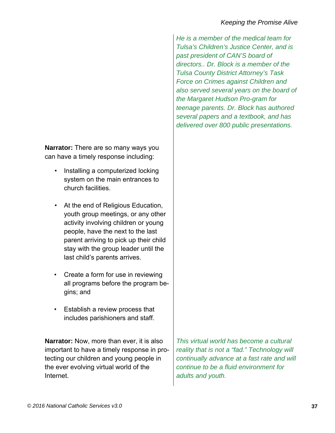**Narrator:** There are so many ways you can have a timely response including:

- Installing a computerized locking system on the main entrances to church facilities.
- At the end of Religious Education, youth group meetings, or any other activity involving children or young people, have the next to the last parent arriving to pick up their child stay with the group leader until the last child's parents arrives.
- Create a form for use in reviewing all programs before the program begins; and
- Establish a review process that includes parishioners and staff.

**Narrator:** Now, more than ever, it is also important to have a timely response in protecting our children and young people in the ever evolving virtual world of the Internet.

*He is a member of the medical team for Tulsa's Children's Justice Center, and is past president of CAN'S board of directors.. Dr. Block is a member of the Tulsa County District Attorney's Task Force on Crimes against Children and also served several years on the board of the Margaret Hudson Pro-gram for teenage parents. Dr. Block has authored several papers and a textbook, and has delivered over 800 public presentations.* 

*This virtual world has become a cultural reality that is not a "fad." Technology will continually advance at a fast rate and will continue to be a fluid environment for adults and youth.*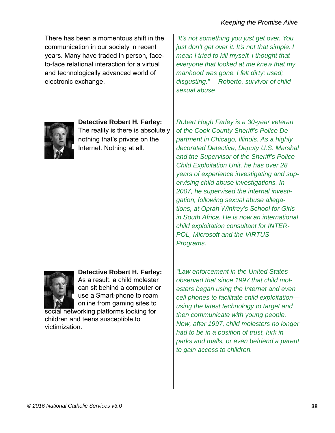There has been a momentous shift in the communication in our society in recent years. Many have traded in person, faceto-face relational interaction for a virtual and technologically advanced world of electronic exchange.

**Detective Robert H. Farley:**  The reality is there is absolutely nothing that's private on the Internet. Nothing at all.

**Detective Robert H. Farley:** As a result, a child molester can sit behind a computer or use a Smart-phone to roam online from gaming sites to

social networking platforms looking for children and teens susceptible to victimization.

*"It's not something you just get over. You just don't get over it. It's not that simple. I mean I tried to kill myself. I thought that everyone that looked at me knew that my manhood was gone. I felt dirty; used; disgusting." —Roberto, survivor of child sexual abuse* 

*Robert Hugh Farley is a 30-year veteran of the Cook County Sheriff's Police Department in Chicago, Illinois. As a highly decorated Detective, Deputy U.S. Marshal and the Supervisor of the Sheriff's Police Child Exploitation Unit, he has over 28 years of experience investigating and supervising child abuse investigations. In 2007, he supervised the internal investigation, following sexual abuse allegations, at Oprah Winfrey's School for Girls in South Africa. He is now an international child exploitation consultant for INTER-POL, Microsoft and the VIRTUS Programs.* 

*"Law enforcement in the United States observed that since 1997 that child molesters began using the Internet and even cell phones to facilitate child exploitation using the latest technology to target and then communicate with young people. Now, after 1997, child molesters no longer had to be in a position of trust, lurk in parks and malls, or even befriend a parent to gain access to children.*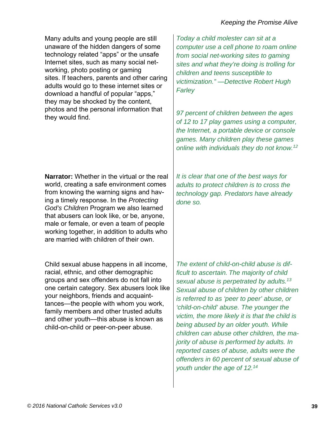Many adults and young people are still unaware of the hidden dangers of some technology related "apps" or the unsafe Internet sites, such as many social networking, photo posting or gaming sites. If teachers, parents and other caring adults would go to these internet sites or download a handful of popular "apps," they may be shocked by the content, photos and the personal information that they would find.

**Narrator:** Whether in the virtual or the real world, creating a safe environment comes from knowing the warning signs and having a timely response. In the *Protecting God's Children* Program we also learned that abusers can look like, or be, anyone, male or female, or even a team of people working together, in addition to adults who are married with children of their own.

Child sexual abuse happens in all income, racial, ethnic, and other demographic groups and sex offenders do not fall into one certain category. Sex abusers look like your neighbors, friends and acquainttances—the people with whom you work, family members and other trusted adults and other youth—this abuse is known as child-on-child or peer-on-peer abuse.

*Today a child molester can sit at a computer use a cell phone to roam online from social net-working sites to gaming sites and what they're doing is trolling for children and teens susceptible to victimization." —Detective Robert Hugh Farley* 

*97 percent of children between the ages of 12 to 17 play games using a computer, the Internet, a portable device or console games. Many children play these games online with individuals they do not know.12*

*It is clear that one of the best ways for adults to protect children is to cross the technology gap. Predators have already done so.*

*The extent of child-on-child abuse is difficult to ascertain. The majority of child sexual abuse is perpetrated by adults.13 Sexual abuse of children by other children is referred to as 'peer to peer' abuse, or 'child-on-child' abuse. The younger the victim, the more likely it is that the child is being abused by an older youth. While children can abuse other children, the majority of abuse is performed by adults. In reported cases of abuse, adults were the offenders in 60 percent of sexual abuse of youth under the age of 12.14*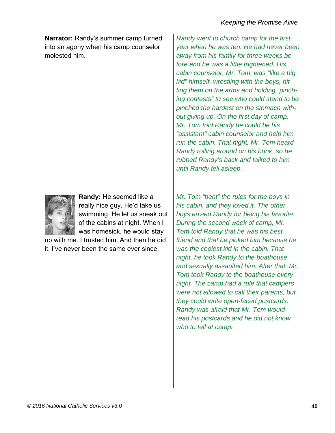**Narrator:** Randy's summer camp turned into an agony when his camp counselor molested him.



**Randy:** He seemed like a really nice guy. He'd take us swimming. He let us sneak out of the cabins at night. When I was homesick, he would stay

up with me. I trusted him. And then he did it. I've never been the same ever since.

*Randy went to church camp for the first year when he was ten. He had never been away from his family for three weeks before and he was a little frightened. His cabin counselor, Mr. Tom, was "like a big kid" himself, wrestling with the boys, hitting them on the arms and holding "pinching contests" to see who could stand to be pinched the hardest on the stomach without giving up. On the first day of camp, Mr. Tom told Randy he could be his "assistant" cabin counselor and help him run the cabin. That night, Mr. Tom heard Randy rolling around on his bunk, so he rubbed Randy's back and talked to him until Randy fell asleep.* 

*Mr. Tom "bent" the rules for the boys in his cabin, and they loved it. The other boys envied Randy for being his favorite. During the second week of camp, Mr. Tom told Randy that he was his best friend and that he picked him because he was the coolest kid in the cabin. That night, he took Randy to the boathouse and sexually assaulted him. After that, Mr. Tom took Randy to the boathouse every night. The camp had a rule that campers were not allowed to call their parents, but they could write open-faced postcards. Randy was afraid that Mr. Tom would read his postcards and he did not know who to tell at camp.*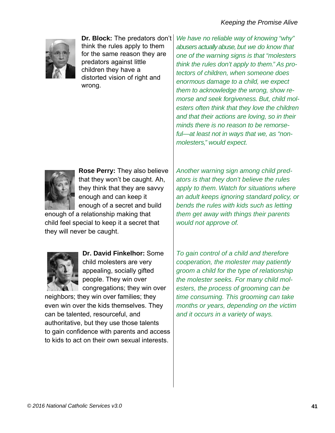

**Dr. Block:** The predators don't think the rules apply to them for the same reason they are predators against little children they have a distorted vision of right and wrong.

*We have no reliable way of knowing "why" abusers actually abuse, but we do know that one of the warning signs is that "molesters think the rules don't apply to them." As protectors of children, when someone does enormous damage to a child, we expect them to acknowledge the wrong, show remorse and seek forgiveness. But, child molesters often think that they love the children and that their actions are loving, so in their minds there is no reason to be remorseful—at least not in ways that we, as "nonmolesters," would expect.* 



**Rose Perry:** They also believe that they won't be caught. Ah, they think that they are savvy enough and can keep it enough of a secret and build

enough of a relationship making that child feel special to keep it a secret that they will never be caught.



**Dr. David Finkelhor:** Some child molesters are very appealing, socially gifted people. They win over congregations; they win over

neighbors; they win over families; they even win over the kids themselves. They can be talented, resourceful, and authoritative, but they use those talents to gain confidence with parents and access to kids to act on their own sexual interests.

*Another warning sign among child predators is that they don't believe the rules apply to them. Watch for situations where an adult keeps ignoring standard policy, or bends the rules with kids such as letting them get away with things their parents would not approve of.*

*To gain control of a child and therefore cooperation, the molester may patiently groom a child for the type of relationship the molester seeks. For many child molesters, the process of grooming can be time consuming. This grooming can take months or years, depending on the victim and it occurs in a variety of ways.*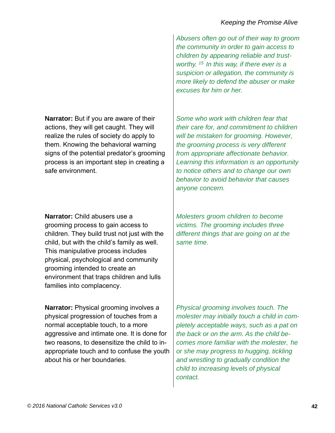*Abusers often go out of their way to groom the community in order to gain access to children by appearing reliable and trustworthy. 15 In this way, if there ever is a suspicion or allegation, the community is more likely to defend the abuser or make excuses for him or her.* 

*Some who work with children fear that their care for, and commitment to children will be mistaken for grooming. However, the grooming process is very different from appropriate affectionate behavior. Learning this information is an opportunity to notice others and to change our own behavior to avoid behavior that causes anyone concern.* 

*Molesters groom children to become victims. The grooming includes three different things that are going on at the same time.* 

*Physical grooming involves touch. The molester may initially touch a child in completely acceptable ways, such as a pat on the back or on the arm. As the child becomes more familiar with the molester, he or she may progress to hugging, tickling and wrestling to gradually condition the child to increasing levels of physical contact.* 

**Narrator:** But if you are aware of their actions, they will get caught. They will realize the rules of society do apply to them. Knowing the behavioral warning signs of the potential predator's grooming process is an important step in creating a safe environment.

**Narrator:** Child abusers use a grooming process to gain access to children. They build trust not just with the child, but with the child's family as well. This manipulative process includes physical, psychological and community grooming intended to create an environment that traps children and lulls families into complacency.

**Narrator:** Physical grooming involves a physical progression of touches from a normal acceptable touch, to a more aggressive and intimate one. It is done for two reasons, to desensitize the child to inappropriate touch and to confuse the youth about his or her boundaries.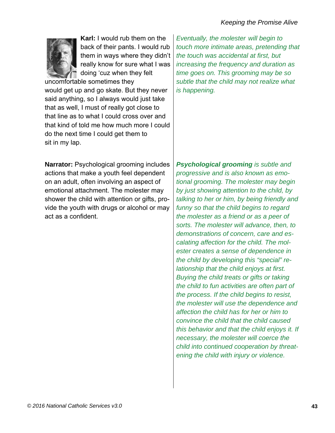

**Karl:** I would rub them on the back of their pants. I would rub them in ways where they didn't really know for sure what I was doing 'cuz when they felt

uncomfortable sometimes they would get up and go skate. But they never said anything, so I always would just take that as well, I must of really got close to that line as to what I could cross over and that kind of told me how much more I could do the next time I could get them to sit in my lap.

*Eventually, the molester will begin to touch more intimate areas, pretending that the touch was accidental at first, but increasing the frequency and duration as time goes on. This grooming may be so subtle that the child may not realize what is happening.*

**Narrator:** Psychological grooming includes actions that make a youth feel dependent on an adult, often involving an aspect of emotional attachment. The molester may shower the child with attention or gifts, provide the youth with drugs or alcohol or may act as a confident.

*Psychological grooming is subtle and progressive and is also known as emotional grooming. The molester may begin by just showing attention to the child, by talking to her or him, by being friendly and funny so that the child begins to regard the molester as a friend or as a peer of sorts. The molester will advance, then, to demonstrations of concern, care and escalating affection for the child. The molester creates a sense of dependence in the child by developing this "special" relationship that the child enjoys at first. Buying the child treats or gifts or taking the child to fun activities are often part of the process. If the child begins to resist, the molester will use the dependence and affection the child has for her or him to convince the child that the child caused this behavior and that the child enjoys it. If necessary, the molester will coerce the child into continued cooperation by threatening the child with injury or violence.*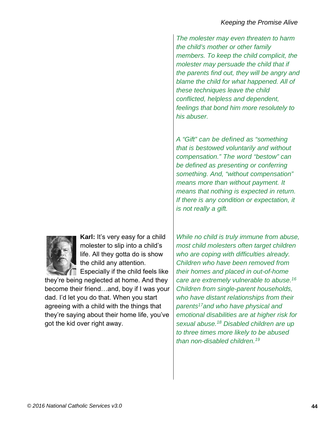*The molester may even threaten to harm the child's mother or other family members. To keep the child complicit, the molester may persuade the child that if the parents find out, they will be angry and blame the child for what happened. All of these techniques leave the child conflicted, helpless and dependent, feelings that bond him more resolutely to his abuser.* 

*A "Gift" can be defined as "something that is bestowed voluntarily and without compensation." The word "bestow" can be defined as presenting or conferring something. And, "without compensation" means more than without payment. It means that nothing is expected in return. If there is any condition or expectation, it is not really a gift.* 



**Karl:** It's very easy for a child molester to slip into a child's life. All they gotta do is show the child any attention.

Especially if the child feels like

they're being neglected at home. And they become their friend…and, boy if I was your dad. I'd let you do that. When you start agreeing with a child with the things that they're saying about their home life, you've got the kid over right away.

*While no child is truly immune from abuse, most child molesters often target children who are coping with difficulties already. Children who have been removed from their homes and placed in out-of-home care are extremely vulnerable to abuse.16 Children from single-parent households, who have distant relationships from their parents17and who have physical and emotional disabilities are at higher risk for sexual abuse.18 Disabled children are up to three times more likely to be abused than non-disabled children.19*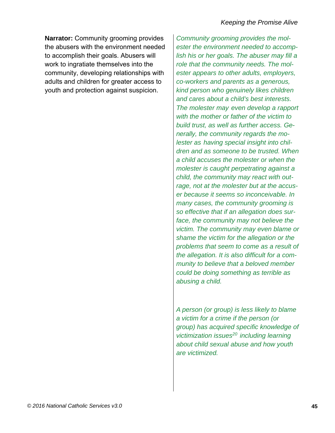**Narrator:** Community grooming provides the abusers with the environment needed to accomplish their goals. Abusers will work to ingratiate themselves into the community, developing relationships with adults and children for greater access to youth and protection against suspicion.

*Community grooming provides the molester the environment needed to accomplish his or her goals. The abuser may fill a role that the community needs. The molester appears to other adults, employers, co-workers and parents as a generous, kind person who genuinely likes children and cares about a child's best interests. The molester may even develop a rapport with the mother or father of the victim to build trust, as well as further access. Generally, the community regards the molester as having special insight into children and as someone to be trusted. When a child accuses the molester or when the molester is caught perpetrating against a child, the community may react with outrage, not at the molester but at the accuser because it seems so inconceivable. In many cases, the community grooming is so effective that if an allegation does surface, the community may not believe the victim. The community may even blame or shame the victim for the allegation or the problems that seem to come as a result of the allegation. It is also difficult for a community to believe that a beloved member could be doing something as terrible as abusing a child.* 

*A person (or group) is less likely to blame a victim for a crime if the person (or group) has acquired specific knowledge of victimization issues20 including learning about child sexual abuse and how youth are victimized.*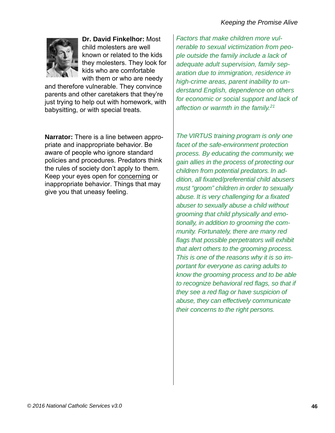

**Dr. David Finkelhor:** Most child molesters are well known or related to the kids they molesters. They look for kids who are comfortable with them or who are needy

and therefore vulnerable. They convince parents and other caretakers that they're just trying to help out with homework, with babysitting, or with special treats.

**Narrator:** There is a line between appropriate and inappropriate behavior. Be aware of people who ignore standard policies and procedures. Predators think the rules of society don't apply to them. Keep your eyes open for concerning or inappropriate behavior. Things that may give you that uneasy feeling.

*Factors that make children more vulnerable to sexual victimization from people outside the family include a lack of adequate adult supervision, family separation due to immigration, residence in high-crime areas, parent inability to understand English, dependence on others for economic or social support and lack of affection or warmth in the family.21*

*The VIRTUS training program is only one facet of the safe-environment protection process. By educating the community, we gain allies in the process of protecting our children from potential predators. In addition, all fixated/preferential child abusers must "groom" children in order to sexually abuse. It is very challenging for a fixated abuser to sexually abuse a child without grooming that child physically and emotionally, in addition to grooming the community. Fortunately, there are many red flags that possible perpetrators will exhibit that alert others to the grooming process. This is one of the reasons why it is so important for everyone as caring adults to know the grooming process and to be able to recognize behavioral red flags, so that if they see a red flag or have suspicion of abuse, they can effectively communicate their concerns to the right persons.*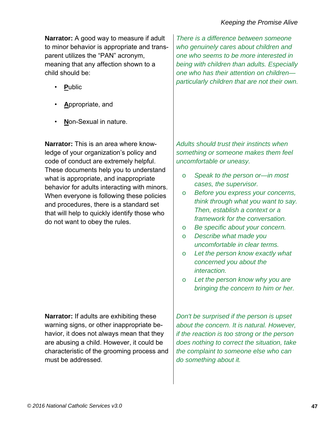**Narrator:** A good way to measure if adult to minor behavior is appropriate and transparent utilizes the "PAN" acronym, meaning that any affection shown to a child should be:

- **P**ublic
- **A**ppropriate, and
- **N**on-Sexual in nature.

**Narrator:** This is an area where knowledge of your organization's policy and code of conduct are extremely helpful. These documents help you to understand what is appropriate, and inappropriate behavior for adults interacting with minors. When everyone is following these policies and procedures, there is a standard set that will help to quickly identify those who do not want to obey the rules.

**Narrator:** If adults are exhibiting these warning signs, or other inappropriate behavior, it does not always mean that they are abusing a child. However, it could be characteristic of the grooming process and must be addressed.

*There is a difference between someone who genuinely cares about children and one who seems to be more interested in being with children than adults. Especially one who has their attention on children particularly children that are not their own.* 

*Adults should trust their instincts when something or someone makes them feel uncomfortable or uneasy.* 

- o *Speak to the person or—in most cases, the supervisor.*
- o *Before you express your concerns, think through what you want to say. Then, establish a context or a framework for the conversation.*
- o *Be specific about your concern.*
- o *Describe what made you uncomfortable in clear terms.*
- o *Let the person know exactly what concerned you about the interaction.*
- o *Let the person know why you are bringing the concern to him or her.*

*Don't be surprised if the person is upset about the concern. It is natural. However, if the reaction is too strong or the person does nothing to correct the situation, take the complaint to someone else who can do something about it.*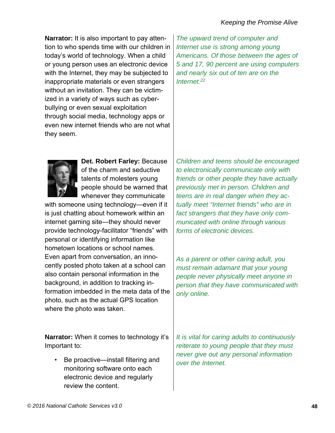**Narrator:** It is also important to pay attention to who spends time with our children in today's world of technology. When a child or young person uses an electronic device with the Internet, they may be subjected to inappropriate materials or even strangers without an invitation. They can be victimized in a variety of ways such as cyberbullying or even sexual exploitation through social media, technology apps or even new internet friends who are not what they seem.

*The upward trend of computer and Internet use is strong among young Americans. Of those between the ages of 5 and 17, 90 percent are using computers and nearly six out of ten are on the Internet.22*



**Det. Robert Farley:** Because of the charm and seductive talents of molesters young people should be warned that whenever they communicate

with someone using technology—even if it is just chatting about homework within an internet gaming site—they should never provide technology-facilitator "friends" with personal or identifying information like hometown locations or school names. Even apart from conversation, an innocently posted photo taken at a school can also contain personal information in the background, in addition to tracking information imbedded in the meta data of the photo, such as the actual GPS location where the photo was taken.

*Children and teens should be encouraged to electronically communicate only with friends or other people they have actually previously met in person. Children and teens are in real danger when they actually meet "Internet friends" who are in fact strangers that they have only communicated with online through various forms of electronic devices.* 

*As a parent or other caring adult, you must remain adamant that your young people never physically meet anyone in person that they have communicated with only online.* 

**Narrator:** When it comes to technology it's Important to:

• Be proactive—install filtering and monitoring software onto each electronic device and regularly review the content.

*It is vital for caring adults to continuously reiterate to young people that they must never give out any personal information over the Internet.*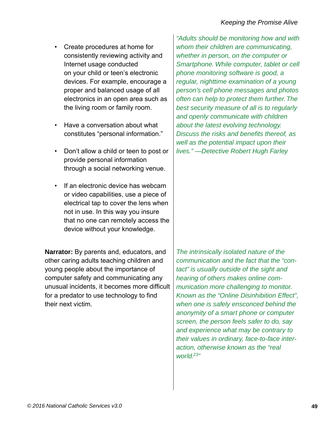- Create procedures at home for consistently reviewing activity and Internet usage conducted on your child or teen's electronic devices. For example, encourage a proper and balanced usage of all electronics in an open area such as the living room or family room.
- Have a conversation about what constitutes "personal information."
- Don't allow a child or teen to post or provide personal information through a social networking venue.
- If an electronic device has webcam or video capabilities, use a piece of electrical tap to cover the lens when not in use. In this way you insure that no one can remotely access the device without your knowledge.

**Narrator:** By parents and, educators, and other caring adults teaching children and young people about the importance of computer safety and communicating any unusual incidents, it becomes more difficult for a predator to use technology to find their next victim.

*"Adults should be monitoring how and with whom their children are communicating, whether in person, on the computer or Smartphone. While computer, tablet or cell phone monitoring software is good, a regular, nighttime examination of a young person's cell phone messages and photos often can help to protect them further. The best security measure of all is to regularly and openly communicate with children about the latest evolving technology. Discuss the risks and benefits thereof, as well as the potential impact upon their lives." —Detective Robert Hugh Farley* 

*The intrinsically isolated nature of the communication and the fact that the "contact" is usually outside of the sight and hearing of others makes online communication more challenging to monitor. Known as the "Online Disinhibition Effect", when one is safely ensconced behind the anonymity of a smart phone or computer screen, the person feels safer to do, say and experience what may be contrary to their values in ordinary, face-to-face interaction, otherwise known as the "real world.23"*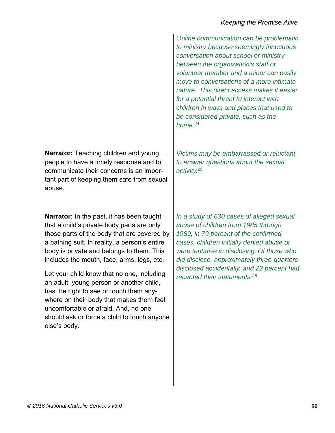**Narrator:** Teaching children and young people to have a timely response and to communicate their concerns is an important part of keeping them safe from sexual abuse.

**Narrator:** In the past, it has been taught that a child's private body parts are only those parts of the body that are covered by a bathing suit. In reality, a person's entire body is private and belongs to them. This includes the mouth, face, arms, legs, etc.

Let your child know that no one, including an adult, young person or another child, has the right to see or touch them anywhere on their body that makes them feel uncomfortable or afraid. And, no one should ask or force a child to touch anyone else's body.

*Online communication can be problematic to ministry because seemingly innocuous conversation about school or ministry between the organization's staff or volunteer member and a minor can easily move to conversations of a more intimate nature. This direct access makes it easier for a potential threat to interact with children in ways and places that used to be considered private, such as the home.24*

*Victims may be embarrassed or reluctant to answer questions about the sexual activity.25*

*In a study of 630 cases of alleged sexual abuse of children from 1985 through 1989, in 79 percent of the confirmed cases, children initially denied abuse or were tentative in disclosing. Of those who did disclose, approximately three-quarters disclosed accidentally, and 22 percent had recanted their statements.26*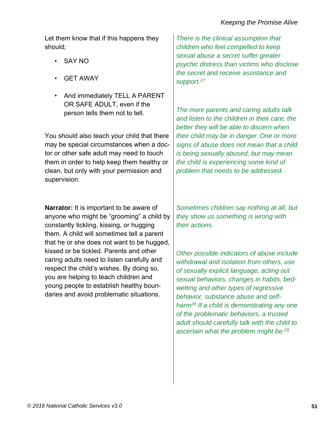Let them know that if this happens they should;

- SAY NO
- GET AWAY
- And immediately TELL A PARENT OR SAFE ADULT, even if the person tells them not to tell.

You should also teach your child that there may be special circumstances when a doctor or other safe adult may need to touch them in order to help keep them healthy or clean, but only with your permission and supervision.

**Narrator:** It is important to be aware of anyone who might be "grooming" a child by constantly tickling, kissing, or hugging them. A child will sometimes tell a parent that he or she does not want to be hugged, kissed or be tickled. Parents and other caring adults need to listen carefully and respect the child's wishes. By doing so, you are helping to teach children and young people to establish healthy boundaries and avoid problematic situations.

*There is the clinical assumption that children who feel compelled to keep sexual abuse a secret suffer greater psychic distress than victims who disclose the secret and receive assistance and support.27*

*The more parents and caring adults talk and listen to the children in their care, the better they will be able to discern when their child may be in danger. One or more signs of abuse does not mean that a child is being sexually abused, but may mean the child is experiencing some kind of problem that needs to be addressed.* 

*Sometimes children say nothing at all, but they show us something is wrong with their actions.* 

*Other possible indicators of abuse include withdrawal and isolation from others, use of sexually explicit language, acting out sexual behaviors, changes in habits, bedwetting and other types of regressive behavior, substance abuse and selfharm28 If a child is demonstrating any one of the problematic behaviors, a trusted adult should carefully talk with the child to ascertain what the problem might be.29*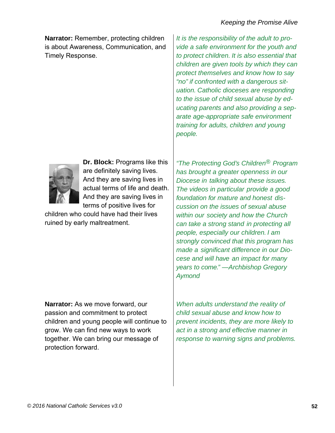**Narrator:** Remember, protecting children is about Awareness, Communication, and Timely Response.

*It is the responsibility of the adult to provide a safe environment for the youth and to protect children. It is also essential that children are given tools by which they can protect themselves and know how to say "no" if confronted with a dangerous situation. Catholic dioceses are responding to the issue of child sexual abuse by educating parents and also providing a separate age-appropriate safe environment training for adults, children and young people.* 



**Dr. Block:** Programs like this are definitely saving lives. And they are saving lives in actual terms of life and death. And they are saving lives in terms of positive lives for

children who could have had their lives ruined by early maltreatment.

**Narrator:** As we move forward, our passion and commitment to protect children and young people will continue to grow. We can find new ways to work together. We can bring our message of protection forward.

*"The Protecting God's Children® Program has brought a greater openness in our Diocese in talking about these issues. The videos in particular provide a good foundation for mature and honest discussion on the issues of sexual abuse within our society and how the Church can take a strong stand in protecting all people, especially our children. I am strongly convinced that this program has made a significant difference in our Diocese and will have an impact for many years to come." —Archbishop Gregory Aymond* 

*When adults understand the reality of child sexual abuse and know how to prevent incidents, they are more likely to act in a strong and effective manner in response to warning signs and problems.*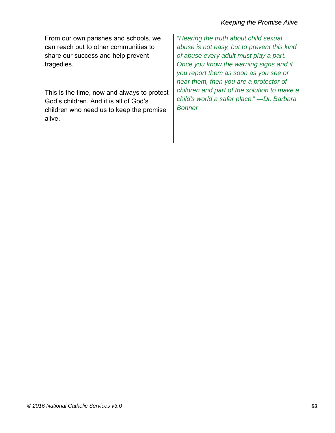From our own parishes and schools, we can reach out to other communities to share our success and help prevent tragedies.

This is the time, now and always to protect God's children. And it is all of God's children who need us to keep the promise alive.

*"Hearing the truth about child sexual abuse is not easy, but to prevent this kind of abuse every adult must play a part. Once you know the warning signs and if you report them as soon as you see or hear them, then you are a protector of children and part of the solution to make a child's world a safer place." —Dr. Barbara Bonner*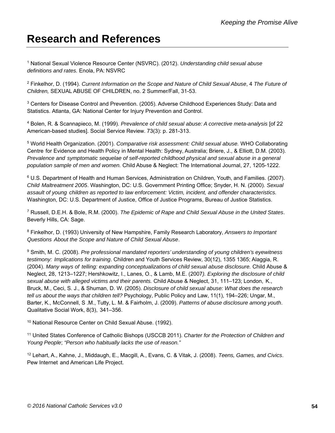### **Research and References**

1 National Sexual Violence Resource Center (NSVRC). (2012). *Understanding child sexual abuse definitions and rates.* Enola, PA: NSVRC

2 Finkelhor, D. (1994). *Current Information on the Scope and Nature of Child Sexual Abuse*, 4 *The Future of Children,* SEXUAL ABUSE OF CHILDREN, no. 2 Summer/Fall, 31-53.

3 Centers for Disease Control and Prevention. (2005). Adverse Childhood Experiences Study: Data and Statistics. Atlanta, GA: National Center for Injury Prevention and Control.

4 Bolen, R. & Scannapieco, M. (1999). *Prevalence of child sexual abuse: A corrective meta-analysis* [of 22 American-based studies]. Social Service Review. 73(3): p. 281-313.

5 World Health Organization. (2001). *Comparative risk assessment: Child sexual abuse.* WHO Collaborating Centre for Evidence and Health Policy in Mental Health: Sydney, Australia; Briere, J., & Elliott, D.M. (2003). *Prevalence and symptomatic sequelae of self-reported childhood physical and sexual abuse in a general population sample of men and women.* Child Abuse & Neglect: The International Journal, 27, 1205-1222.

6 U.S. Department of Health and Human Services, Administration on Children, Youth, and Families. (2007). *Child Maltreatment 2005*. Washington, DC: U.S. Government Printing Office; Snyder, H. N. (2000). *Sexual assault of young children as reported to law enforcement: Victim, incident, and offender characteristics.*  Washington, DC: U.S. Department of Justice, Office of Justice Programs, Bureau of Justice Statistics.

7 Russell, D.E.H. & Bole, R.M. (2000). *The Epidemic of Rape and Child Sexual Abuse in the United States*. Beverly Hills, CA: Sage.

8 Finkelhor, D. (1993) University of New Hampshire, Family Research Laboratory, *Answers to Important Questions About the Scope and Nature of Child Sexual Abuse*.

9 Smith, M. C. (2008). *Pre professional mandated reporters' understanding of young children's eyewitness testimony: Implications for training*. Children and Youth Services Review, 30(12), 1355 1365; Alaggia, R. (2004). *Many ways of telling: expanding conceptualizations of child sexual abuse disclosure.* Child Abuse & Neglect, 28, 1213–1227; Hershkowitz, I., Lanes, O., & Lamb, M.E. (2007*). Exploring the disclosure of child sexual abuse with alleged victims and their parents.* Child Abuse & Neglect, 31, 111–123; London, K., Bruck, M., Ceci, S. J., & Shuman, D. W. (2005). *Disclosure of child sexual abuse: What does the research tell us about the ways that children tell?* Psychology, Public Policy and Law, 11(1), 194–226; Ungar, M., Barter, K., McConnell, S .M., Tutty, L. M. & Fairholm, J. (2009). *Patterns of abuse disclosure among youth*. Qualitative Social Work, 8(3), 341–356.

10 National Resource Center on Child Sexual Abuse. (1992).

11 United States Conference of Catholic Bishops (USCCB 2011). *Charter for the Protection of Children and Young People*; *"Person who habitually lacks the use of reason."*

12 Lehart, A., Kahne, J., Middaugh, E., Macgill, A., Evans, C. & Vitak, J. (2008). *Teens, Games, and Civics*. Pew Internet and American Life Project.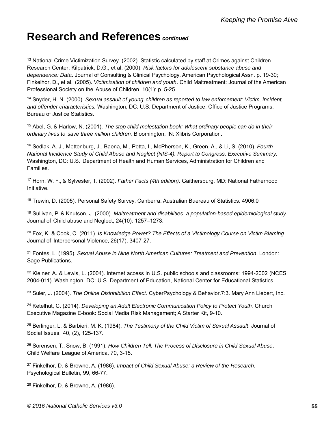### **Research and References** *continued*

<sup>13</sup> National Crime Victimization Survey. (2002). Statistic calculated by staff at Crimes against Children Research Center; Kilpatrick, D.G., et al. (2000). *Risk factors for adolescent substance abuse and dependence: Data*. Journal of Consulting & Clinical Psychology. American Psychological Assn. p. 19-30; Finkelhor, D., et al. (2005). *Victimization of children and youth*. Child Maltreatment: Journal of the American Professional Society on the Abuse of Children. 10(1): p. 5-25.

14 Snyder, H. N. (2000). *Sexual assault of young children as reported to law enforcement: Victim, incident, and offender characteristics.* Washington, DC: U.S. Department of Justice, Office of Justice Programs, Bureau of Justice Statistics.

15 Abel, G. & Harlow, N. (2001). *The stop child molestation book: What ordinary people can do in their ordinary lives to save three million children.* Bloomington, IN: Xlibris Corporation.

16 Sedlak, A. J., Mettenburg, J., Baena, M., Petta, I., McPherson, K., Green, A., & Li, S. (2010). *Fourth National Incidence Study of Child Abuse and Neglect (NIS-4): Report to Congress, Executive Summary.*  Washington, DC: U.S. Department of Health and Human Services, Administration for Children and Families.

17 Horn, W. F., & Sylvester, T. (2002). *Father Facts (4th edition)*. Gaithersburg, MD: National Fatherhood Initiative.

18 Trewin, D. (2005). Personal Safety Survey. Canberra: Australian Buereau of Statistics. 4906:0

19 Sullivan, P. & Knutson, J. (2000). *Maltreatment and disabilities: a population-based epidemiological study.*  Journal of Child abuse and Neglect, 24(10): 1257–1273.

20 Fox, K. & Cook, C. (2011). *Is Knowledge Power? The Effects of a Victimology Course on Victim Blaming*. Journal of Interpersonal Violence, 26(17), 3407-27.

21 Fontes, L. (1995). *Sexual Abuse in Nine North American Cultures: Treatment and Prevention*. London: Sage Publications.

<sup>22</sup> Kleiner, A. & Lewis, L. (2004). Internet access in U.S. public schools and classrooms: 1994-2002 (NCES 2004-011). Washington, DC: U.S. Department of Education, National Center for Educational Statistics.

23 Suler, J. (2004). *The Online Disinhibition Effect.* CyberPsychology & Behavior.7:3. Mary Ann Liebert, Inc.

24 Ketelhut, C. (2014). *Developing an Adult Electronic Communication Policy to Protect Youth.* Church Executive Magazine E-book: Social Media Risk Management; A Starter Kit, 9-10.

25 Berlinger, L. & Barbieri, M. K. (1984). *The Testimony of the Child Victim of Sexual Assault*. Journal of Social Issues, 40, (2), 125-137.

26 Sorensen, T., Snow, B. (1991). *How Children Tell: The Process of Disclosure in Child Sexual Abuse*. Child Welfare League of America, 70, 3-15.

27 Finkelhor, D. & Browne, A. (1986). *Impact of Child Sexual Abuse: a Review of the Research.*  Psychological Bulletin, 99, 66-77.

28 Finkelhor, D. & Browne, A. (1986).